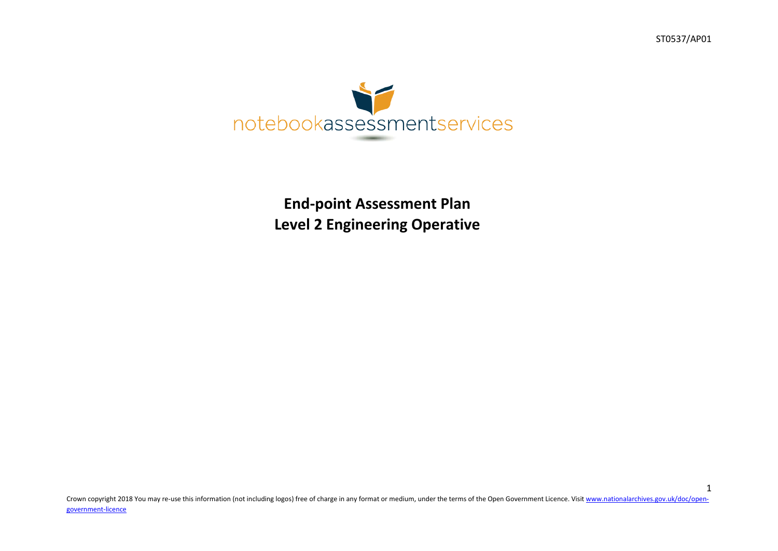ST0537/AP01

1



# **End-point Assessment Plan Level 2 Engineering Operative**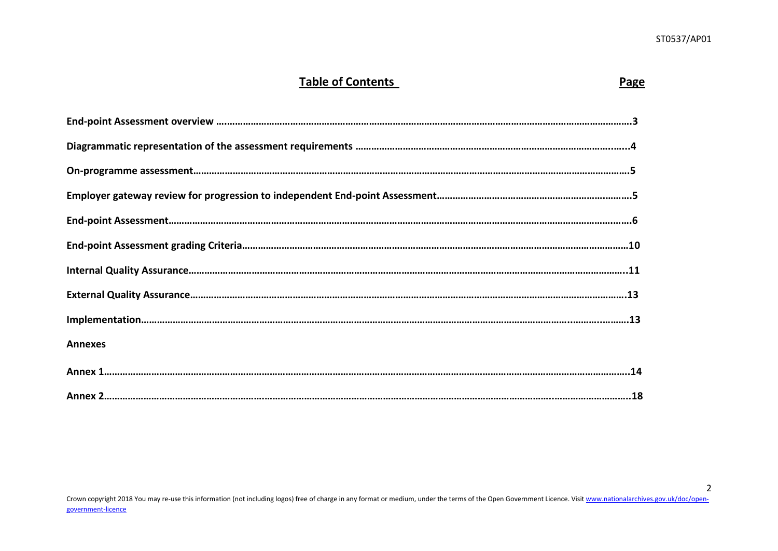### **Table of Contents Page**

| <b>Annexes</b> |
|----------------|
|                |
|                |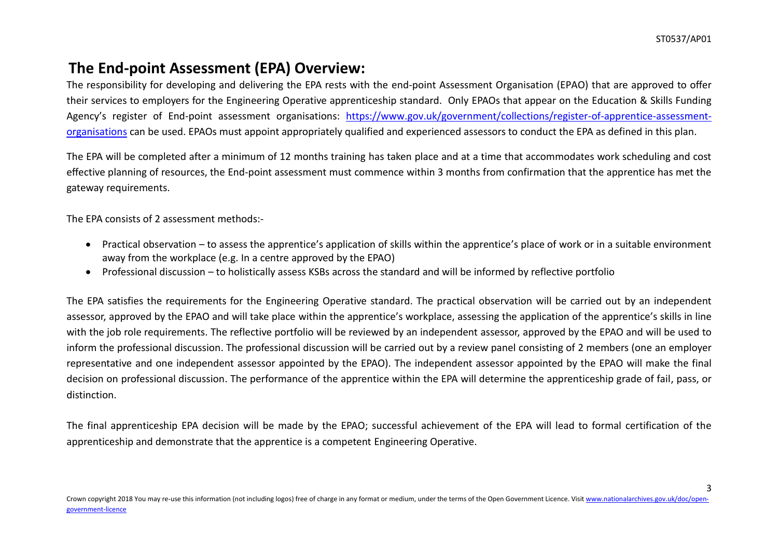# **The End-point Assessment (EPA) Overview:**

The responsibility for developing and delivering the EPA rests with the end-point Assessment Organisation (EPAO) that are approved to offer their services to employers for the Engineering Operative apprenticeship standard. Only EPAOs that appear on the Education & Skills Funding Agency's register of End-point assessment organisations: [https://www.gov.uk/government/collections/register-of-apprentice-assessment](https://www.gov.uk/government/collections/register-of-apprentice-assessment-organisations)[organisations](https://www.gov.uk/government/collections/register-of-apprentice-assessment-organisations) can be used. EPAOs must appoint appropriately qualified and experienced assessors to conduct the EPA as defined in this plan.

The EPA will be completed after a minimum of 12 months training has taken place and at a time that accommodates work scheduling and cost effective planning of resources, the End-point assessment must commence within 3 months from confirmation that the apprentice has met the gateway requirements.

The EPA consists of 2 assessment methods:-

- Practical observation to assess the apprentice's application of skills within the apprentice's place of work or in a suitable environment away from the workplace (e.g. In a centre approved by the EPAO)
- Professional discussion to holistically assess KSBs across the standard and will be informed by reflective portfolio

The EPA satisfies the requirements for the Engineering Operative standard. The practical observation will be carried out by an independent assessor, approved by the EPAO and will take place within the apprentice's workplace, assessing the application of the apprentice's skills in line with the job role requirements. The reflective portfolio will be reviewed by an independent assessor, approved by the EPAO and will be used to inform the professional discussion. The professional discussion will be carried out by a review panel consisting of 2 members (one an employer representative and one independent assessor appointed by the EPAO). The independent assessor appointed by the EPAO will make the final decision on professional discussion. The performance of the apprentice within the EPA will determine the apprenticeship grade of fail, pass, or distinction.

The final apprenticeship EPA decision will be made by the EPAO; successful achievement of the EPA will lead to formal certification of the apprenticeship and demonstrate that the apprentice is a competent Engineering Operative.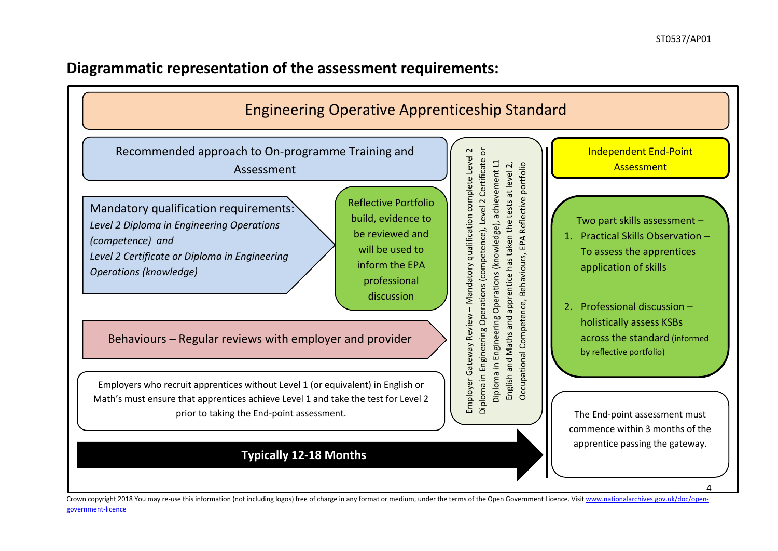## **Diagrammatic representation of the assessment requirements:**

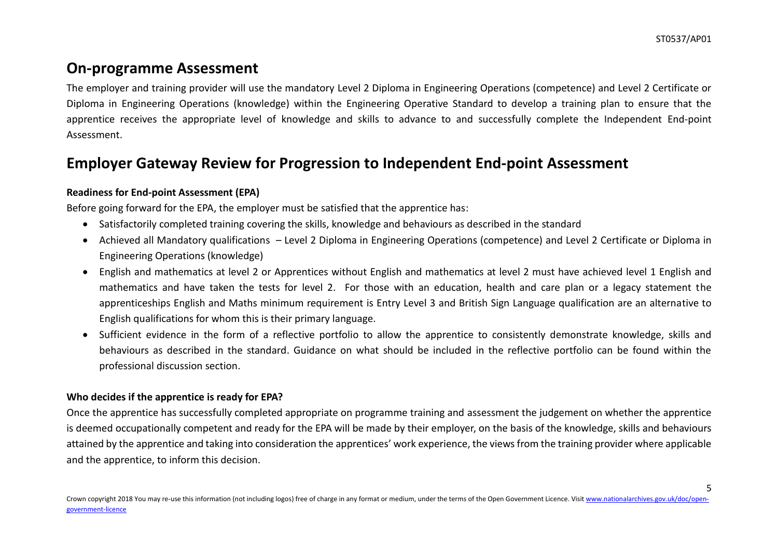# **On-programme Assessment**

The employer and training provider will use the mandatory Level 2 Diploma in Engineering Operations (competence) and Level 2 Certificate or Diploma in Engineering Operations (knowledge) within the Engineering Operative Standard to develop a training plan to ensure that the apprentice receives the appropriate level of knowledge and skills to advance to and successfully complete the Independent End-point Assessment.

# **Employer Gateway Review for Progression to Independent End-point Assessment**

#### **Readiness for End-point Assessment (EPA)**

Before going forward for the EPA, the employer must be satisfied that the apprentice has:

- Satisfactorily completed training covering the skills, knowledge and behaviours as described in the standard
- Achieved all Mandatory qualifications Level 2 Diploma in Engineering Operations (competence) and Level 2 Certificate or Diploma in Engineering Operations (knowledge)
- English and mathematics at level 2 or Apprentices without English and mathematics at level 2 must have achieved level 1 English and mathematics and have taken the tests for level 2. For those with an education, health and care plan or a legacy statement the apprenticeships English and Maths minimum requirement is Entry Level 3 and British Sign Language qualification are an alternative to English qualifications for whom this is their primary language.
- Sufficient evidence in the form of a reflective portfolio to allow the apprentice to consistently demonstrate knowledge, skills and behaviours as described in the standard. Guidance on what should be included in the reflective portfolio can be found within the professional discussion section.

#### **Who decides if the apprentice is ready for EPA?**

Once the apprentice has successfully completed appropriate on programme training and assessment the judgement on whether the apprentice is deemed occupationally competent and ready for the EPA will be made by their employer, on the basis of the knowledge, skills and behaviours attained by the apprentice and taking into consideration the apprentices' work experience, the views from the training provider where applicable and the apprentice, to inform this decision.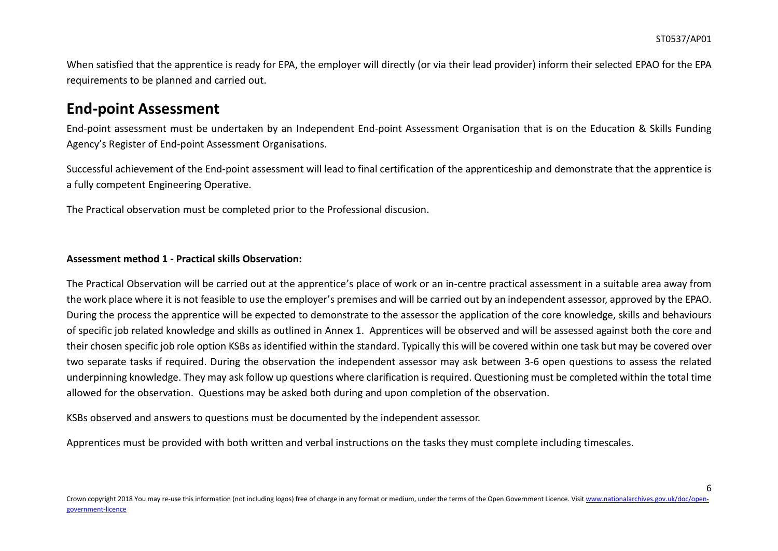When satisfied that the apprentice is ready for EPA, the employer will directly (or via their lead provider) inform their selected EPAO for the EPA requirements to be planned and carried out.

### **End-point Assessment**

End-point assessment must be undertaken by an Independent End-point Assessment Organisation that is on the Education & Skills Funding Agency's Register of End-point Assessment Organisations.

Successful achievement of the End-point assessment will lead to final certification of the apprenticeship and demonstrate that the apprentice is a fully competent Engineering Operative.

The Practical observation must be completed prior to the Professional discusion.

#### **Assessment method 1 - Practical skills Observation:**

The Practical Observation will be carried out at the apprentice's place of work or an in-centre practical assessment in a suitable area away from the work place where it is not feasible to use the employer's premises and will be carried out by an independent assessor, approved by the EPAO. During the process the apprentice will be expected to demonstrate to the assessor the application of the core knowledge, skills and behaviours of specific job related knowledge and skills as outlined in Annex 1. Apprentices will be observed and will be assessed against both the core and their chosen specific job role option KSBs as identified within the standard. Typically this will be covered within one task but may be covered over two separate tasks if required. During the observation the independent assessor may ask between 3-6 open questions to assess the related underpinning knowledge. They may ask follow up questions where clarification is required. Questioning must be completed within the total time allowed for the observation. Questions may be asked both during and upon completion of the observation.

KSBs observed and answers to questions must be documented by the independent assessor.

Apprentices must be provided with both written and verbal instructions on the tasks they must complete including timescales.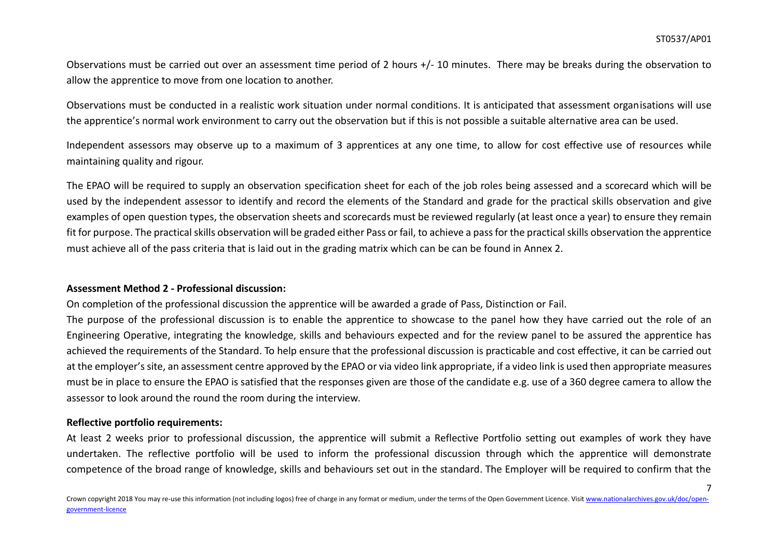Observations must be carried out over an assessment time period of 2 hours +/- 10 minutes. There may be breaks during the observation to allow the apprentice to move from one location to another.

Observations must be conducted in a realistic work situation under normal conditions. It is anticipated that assessment organisations will use the apprentice's normal work environment to carry out the observation but if this is not possible a suitable alternative area can be used.

Independent assessors may observe up to a maximum of 3 apprentices at any one time, to allow for cost effective use of resources while maintaining quality and rigour.

The EPAO will be required to supply an observation specification sheet for each of the job roles being assessed and a scorecard which will be used by the independent assessor to identify and record the elements of the Standard and grade for the practical skills observation and give examples of open question types, the observation sheets and scorecards must be reviewed regularly (at least once a year) to ensure they remain fit for purpose. The practical skills observation will be graded either Pass or fail, to achieve a pass for the practical skills observation the apprentice must achieve all of the pass criteria that is laid out in the grading matrix which can be can be found in Annex 2.

#### **Assessment Method 2 - Professional discussion:**

On completion of the professional discussion the apprentice will be awarded a grade of Pass, Distinction or Fail.

The purpose of the professional discussion is to enable the apprentice to showcase to the panel how they have carried out the role of an Engineering Operative, integrating the knowledge, skills and behaviours expected and for the review panel to be assured the apprentice has achieved the requirements of the Standard. To help ensure that the professional discussion is practicable and cost effective, it can be carried out at the employer's site, an assessment centre approved by the EPAO or via video link appropriate, if a video link is used then appropriate measures must be in place to ensure the EPAO is satisfied that the responses given are those of the candidate e.g. use of a 360 degree camera to allow the assessor to look around the round the room during the interview.

#### **Reflective portfolio requirements:**

At least 2 weeks prior to professional discussion, the apprentice will submit a Reflective Portfolio setting out examples of work they have undertaken. The reflective portfolio will be used to inform the professional discussion through which the apprentice will demonstrate competence of the broad range of knowledge, skills and behaviours set out in the standard. The Employer will be required to confirm that the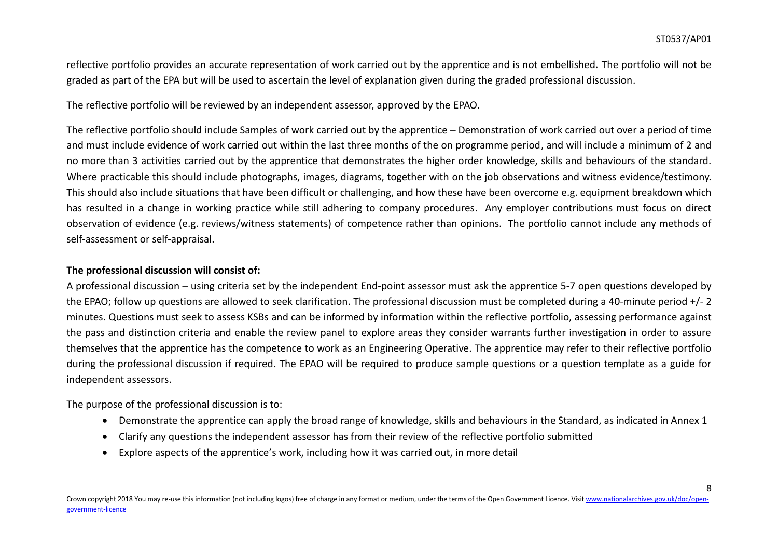reflective portfolio provides an accurate representation of work carried out by the apprentice and is not embellished. The portfolio will not be graded as part of the EPA but will be used to ascertain the level of explanation given during the graded professional discussion.

The reflective portfolio will be reviewed by an independent assessor, approved by the EPAO.

The reflective portfolio should include Samples of work carried out by the apprentice – Demonstration of work carried out over a period of time and must include evidence of work carried out within the last three months of the on programme period, and will include a minimum of 2 and no more than 3 activities carried out by the apprentice that demonstrates the higher order knowledge, skills and behaviours of the standard. Where practicable this should include photographs, images, diagrams, together with on the job observations and witness evidence/testimony. This should also include situations that have been difficult or challenging, and how these have been overcome e.g. equipment breakdown which has resulted in a change in working practice while still adhering to company procedures. Any employer contributions must focus on direct observation of evidence (e.g. reviews/witness statements) of competence rather than opinions. The portfolio cannot include any methods of self-assessment or self-appraisal.

#### **The professional discussion will consist of:**

A professional discussion – using criteria set by the independent End-point assessor must ask the apprentice 5-7 open questions developed by the EPAO; follow up questions are allowed to seek clarification. The professional discussion must be completed during a 40-minute period +/- 2 minutes. Questions must seek to assess KSBs and can be informed by information within the reflective portfolio, assessing performance against the pass and distinction criteria and enable the review panel to explore areas they consider warrants further investigation in order to assure themselves that the apprentice has the competence to work as an Engineering Operative. The apprentice may refer to their reflective portfolio during the professional discussion if required. The EPAO will be required to produce sample questions or a question template as a guide for independent assessors.

The purpose of the professional discussion is to:

- Demonstrate the apprentice can apply the broad range of knowledge, skills and behaviours in the Standard, as indicated in Annex 1
- Clarify any questions the independent assessor has from their review of the reflective portfolio submitted
- Explore aspects of the apprentice's work, including how it was carried out, in more detail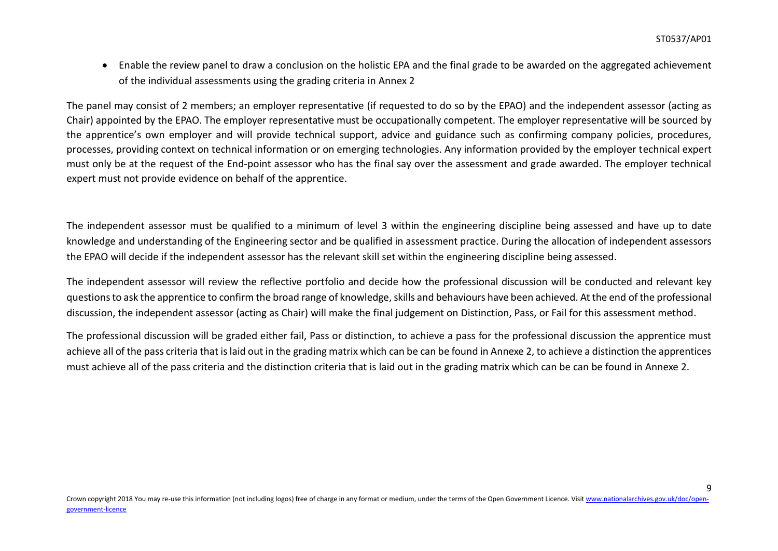Enable the review panel to draw a conclusion on the holistic EPA and the final grade to be awarded on the aggregated achievement of the individual assessments using the grading criteria in Annex 2

The panel may consist of 2 members; an employer representative (if requested to do so by the EPAO) and the independent assessor (acting as Chair) appointed by the EPAO. The employer representative must be occupationally competent. The employer representative will be sourced by the apprentice's own employer and will provide technical support, advice and guidance such as confirming company policies, procedures, processes, providing context on technical information or on emerging technologies. Any information provided by the employer technical expert must only be at the request of the End-point assessor who has the final say over the assessment and grade awarded. The employer technical expert must not provide evidence on behalf of the apprentice.

The independent assessor must be qualified to a minimum of level 3 within the engineering discipline being assessed and have up to date knowledge and understanding of the Engineering sector and be qualified in assessment practice. During the allocation of independent assessors the EPAO will decide if the independent assessor has the relevant skill set within the engineering discipline being assessed.

The independent assessor will review the reflective portfolio and decide how the professional discussion will be conducted and relevant key questions to ask the apprentice to confirm the broad range of knowledge, skills and behaviours have been achieved. At the end of the professional discussion, the independent assessor (acting as Chair) will make the final judgement on Distinction, Pass, or Fail for this assessment method.

The professional discussion will be graded either fail, Pass or distinction, to achieve a pass for the professional discussion the apprentice must achieve all of the pass criteria that is laid out in the grading matrix which can be can be found in Annexe 2, to achieve a distinction the apprentices must achieve all of the pass criteria and the distinction criteria that is laid out in the grading matrix which can be can be found in Annexe 2.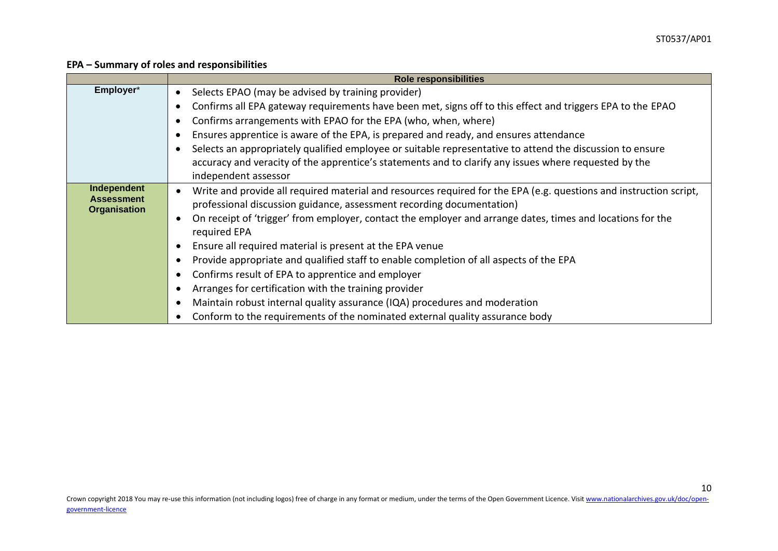#### **EPA – Summary of roles and responsibilities**

|                                          | <b>Role responsibilities</b>                                                                                               |
|------------------------------------------|----------------------------------------------------------------------------------------------------------------------------|
| Employer*                                | Selects EPAO (may be advised by training provider)                                                                         |
|                                          | Confirms all EPA gateway requirements have been met, signs off to this effect and triggers EPA to the EPAO                 |
|                                          | Confirms arrangements with EPAO for the EPA (who, when, where)                                                             |
|                                          | Ensures apprentice is aware of the EPA, is prepared and ready, and ensures attendance                                      |
|                                          | Selects an appropriately qualified employee or suitable representative to attend the discussion to ensure                  |
|                                          | accuracy and veracity of the apprentice's statements and to clarify any issues where requested by the                      |
|                                          | independent assessor                                                                                                       |
| Independent                              | Write and provide all required material and resources required for the EPA (e.g. questions and instruction script,         |
| <b>Assessment</b><br><b>Organisation</b> | professional discussion guidance, assessment recording documentation)                                                      |
|                                          | On receipt of 'trigger' from employer, contact the employer and arrange dates, times and locations for the<br>required EPA |
|                                          | Ensure all required material is present at the EPA venue                                                                   |
|                                          | Provide appropriate and qualified staff to enable completion of all aspects of the EPA                                     |
|                                          | Confirms result of EPA to apprentice and employer                                                                          |
|                                          | Arranges for certification with the training provider                                                                      |
|                                          | Maintain robust internal quality assurance (IQA) procedures and moderation                                                 |
|                                          | Conform to the requirements of the nominated external quality assurance body                                               |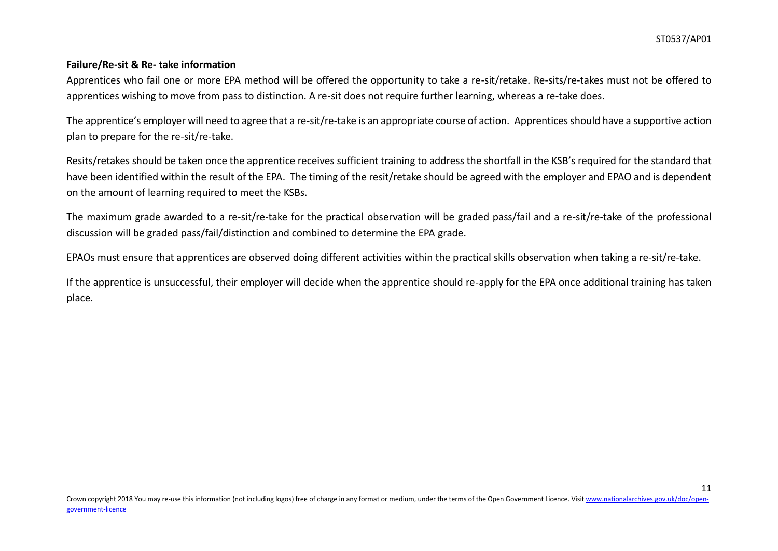#### **Failure/Re-sit & Re- take information**

Apprentices who fail one or more EPA method will be offered the opportunity to take a re-sit/retake. Re-sits/re-takes must not be offered to apprentices wishing to move from pass to distinction. A re-sit does not require further learning, whereas a re-take does.

The apprentice's employer will need to agree that a re-sit/re-take is an appropriate course of action. Apprentices should have a supportive action plan to prepare for the re-sit/re-take.

Resits/retakes should be taken once the apprentice receives sufficient training to address the shortfall in the KSB's required for the standard that have been identified within the result of the EPA. The timing of the resit/retake should be agreed with the employer and EPAO and is dependent on the amount of learning required to meet the KSBs.

The maximum grade awarded to a re-sit/re-take for the practical observation will be graded pass/fail and a re-sit/re-take of the professional discussion will be graded pass/fail/distinction and combined to determine the EPA grade.

EPAOs must ensure that apprentices are observed doing different activities within the practical skills observation when taking a re-sit/re-take.

If the apprentice is unsuccessful, their employer will decide when the apprentice should re-apply for the EPA once additional training has taken place.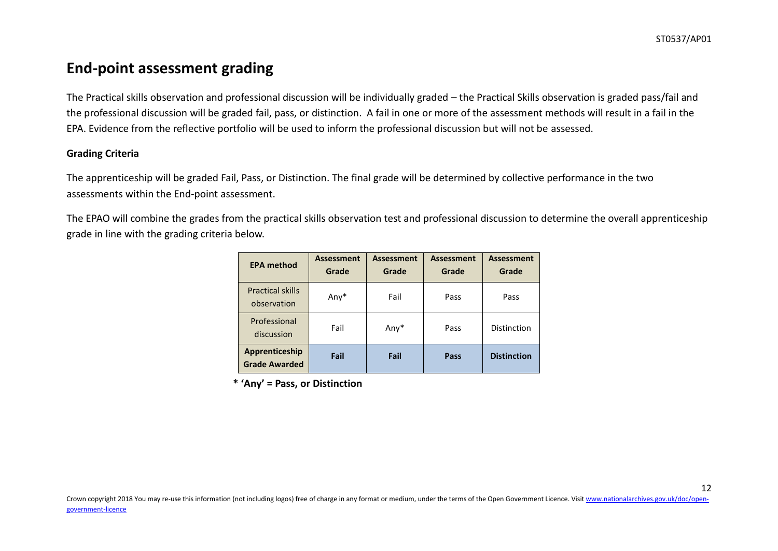# **End-point assessment grading**

The Practical skills observation and professional discussion will be individually graded – the Practical Skills observation is graded pass/fail and the professional discussion will be graded fail, pass, or distinction. A fail in one or more of the assessment methods will result in a fail in the EPA. Evidence from the reflective portfolio will be used to inform the professional discussion but will not be assessed.

#### **Grading Criteria**

The apprenticeship will be graded Fail, Pass, or Distinction. The final grade will be determined by collective performance in the two assessments within the End-point assessment.

The EPAO will combine the grades from the practical skills observation test and professional discussion to determine the overall apprenticeship grade in line with the grading criteria below.

| <b>EPA method</b>                      | <b>Assessment</b><br>Grade | <b>Assessment</b><br>Grade | <b>Assessment</b><br>Grade | <b>Assessment</b><br>Grade |
|----------------------------------------|----------------------------|----------------------------|----------------------------|----------------------------|
| <b>Practical skills</b><br>observation | Any*                       | Fail                       | Pass                       | Pass                       |
| Professional<br>discussion             | Fail                       | Any*                       | Pass                       | Distinction                |
| Apprenticeship<br><b>Grade Awarded</b> | Fail                       | Fail                       | Pass                       | <b>Distinction</b>         |

**\* 'Any' = Pass, or Distinction**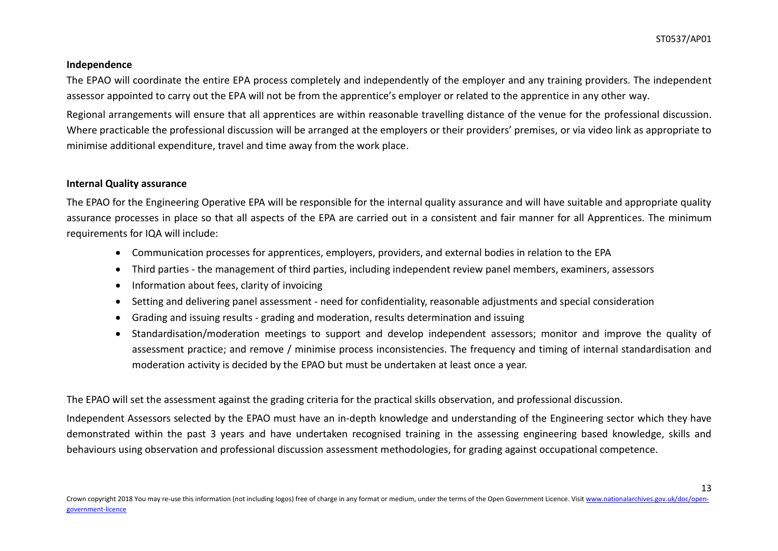#### **Independence**

The EPAO will coordinate the entire EPA process completely and independently of the employer and any training providers. The independent assessor appointed to carry out the EPA will not be from the apprentice's employer or related to the apprentice in any other way.

Regional arrangements will ensure that all apprentices are within reasonable travelling distance of the venue for the professional discussion. Where practicable the professional discussion will be arranged at the employers or their providers' premises, or via video link as appropriate to minimise additional expenditure, travel and time away from the work place.

#### **Internal Quality assurance**

The EPAO for the Engineering Operative EPA will be responsible for the internal quality assurance and will have suitable and appropriate quality assurance processes in place so that all aspects of the EPA are carried out in a consistent and fair manner for all Apprentices. The minimum requirements for IQA will include:

- Communication processes for apprentices, employers, providers, and external bodies in relation to the EPA
- Third parties the management of third parties, including independent review panel members, examiners, assessors
- Information about fees, clarity of invoicing
- Setting and delivering panel assessment need for confidentiality, reasonable adjustments and special consideration
- Grading and issuing results grading and moderation, results determination and issuing
- Standardisation/moderation meetings to support and develop independent assessors; monitor and improve the quality of assessment practice; and remove / minimise process inconsistencies. The frequency and timing of internal standardisation and moderation activity is decided by the EPAO but must be undertaken at least once a year.

The EPAO will set the assessment against the grading criteria for the practical skills observation, and professional discussion.

Independent Assessors selected by the EPAO must have an in-depth knowledge and understanding of the Engineering sector which they have demonstrated within the past 3 years and have undertaken recognised training in the assessing engineering based knowledge, skills and behaviours using observation and professional discussion assessment methodologies, for grading against occupational competence.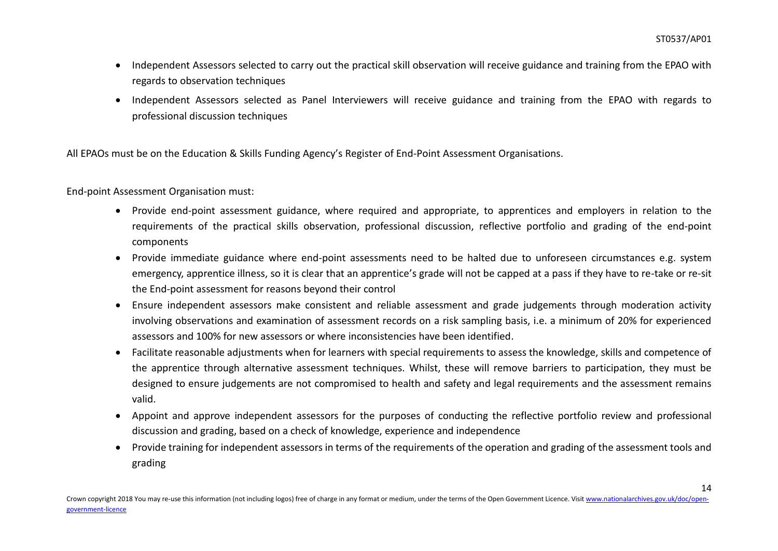- Independent Assessors selected to carry out the practical skill observation will receive guidance and training from the EPAO with regards to observation techniques
- Independent Assessors selected as Panel Interviewers will receive guidance and training from the EPAO with regards to professional discussion techniques

All EPAOs must be on the Education & Skills Funding Agency's Register of End-Point Assessment Organisations.

End-point Assessment Organisation must:

- Provide end-point assessment guidance, where required and appropriate, to apprentices and employers in relation to the requirements of the practical skills observation, professional discussion, reflective portfolio and grading of the end-point components
- Provide immediate guidance where end-point assessments need to be halted due to unforeseen circumstances e.g. system emergency, apprentice illness, so it is clear that an apprentice's grade will not be capped at a pass if they have to re-take or re-sit the End-point assessment for reasons beyond their control
- Ensure independent assessors make consistent and reliable assessment and grade judgements through moderation activity involving observations and examination of assessment records on a risk sampling basis, i.e. a minimum of 20% for experienced assessors and 100% for new assessors or where inconsistencies have been identified.
- Facilitate reasonable adjustments when for learners with special requirements to assess the knowledge, skills and competence of the apprentice through alternative assessment techniques. Whilst, these will remove barriers to participation, they must be designed to ensure judgements are not compromised to health and safety and legal requirements and the assessment remains valid.
- Appoint and approve independent assessors for the purposes of conducting the reflective portfolio review and professional discussion and grading, based on a check of knowledge, experience and independence
- Provide training for independent assessors in terms of the requirements of the operation and grading of the assessment tools and grading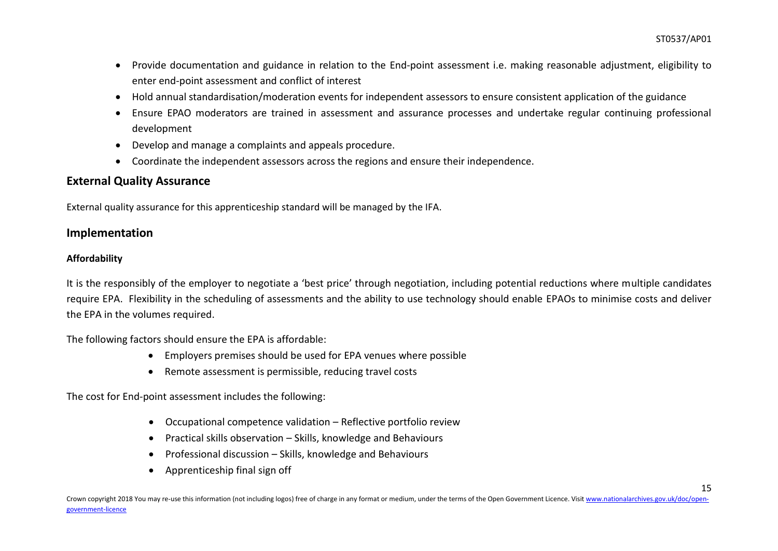- Provide documentation and guidance in relation to the End-point assessment i.e. making reasonable adjustment, eligibility to enter end-point assessment and conflict of interest
- Hold annual standardisation/moderation events for independent assessors to ensure consistent application of the guidance
- Ensure EPAO moderators are trained in assessment and assurance processes and undertake regular continuing professional development
- Develop and manage a complaints and appeals procedure.
- Coordinate the independent assessors across the regions and ensure their independence.

### **External Quality Assurance**

External quality assurance for this apprenticeship standard will be managed by the IFA.

### **Implementation**

### **Affordability**

It is the responsibly of the employer to negotiate a 'best price' through negotiation, including potential reductions where multiple candidates require EPA. Flexibility in the scheduling of assessments and the ability to use technology should enable EPAOs to minimise costs and deliver the EPA in the volumes required.

The following factors should ensure the EPA is affordable:

- Employers premises should be used for EPA venues where possible
- Remote assessment is permissible, reducing travel costs

The cost for End-point assessment includes the following:

- Occupational competence validation Reflective portfolio review
- Practical skills observation Skills, knowledge and Behaviours
- Professional discussion Skills, knowledge and Behaviours
- Apprenticeship final sign off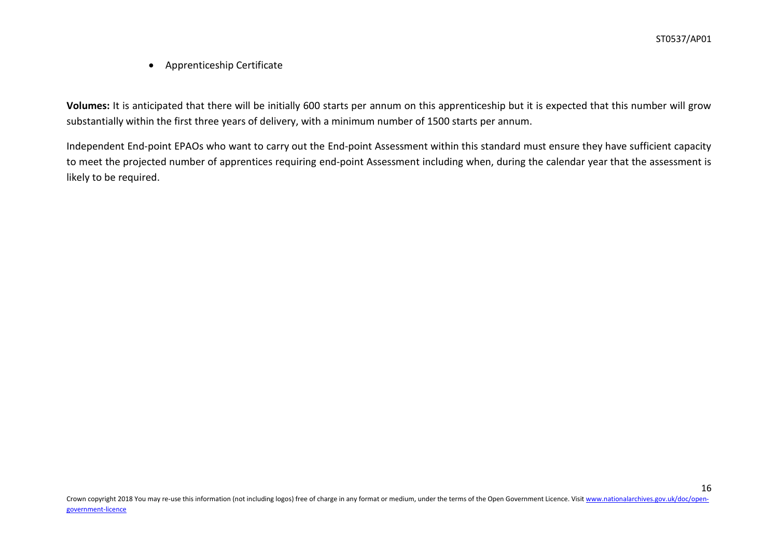Apprenticeship Certificate

**Volumes:** It is anticipated that there will be initially 600 starts per annum on this apprenticeship but it is expected that this number will grow substantially within the first three years of delivery, with a minimum number of 1500 starts per annum.

Independent End-point EPAOs who want to carry out the End-point Assessment within this standard must ensure they have sufficient capacity to meet the projected number of apprentices requiring end-point Assessment including when, during the calendar year that the assessment is likely to be required.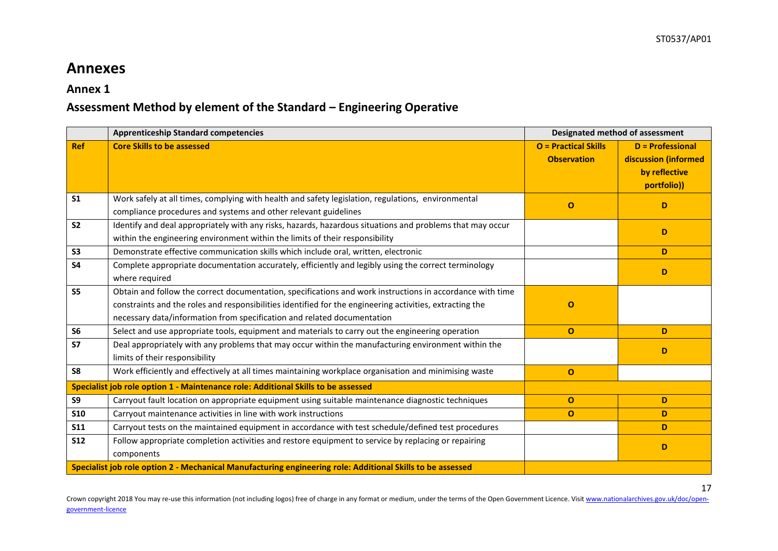## **Annexes**

### **Annex 1**

### **Assessment Method by element of the Standard – Engineering Operative**

|                | <b>Apprenticeship Standard competencies</b>                                                                                                                                                                                                                                                      |                                                   | Designated method of assessment                                                 |
|----------------|--------------------------------------------------------------------------------------------------------------------------------------------------------------------------------------------------------------------------------------------------------------------------------------------------|---------------------------------------------------|---------------------------------------------------------------------------------|
| <b>Ref</b>     | <b>Core Skills to be assessed</b>                                                                                                                                                                                                                                                                | <b>O</b> = Practical Skills<br><b>Observation</b> | <b>D</b> = Professional<br>discussion (informed<br>by reflective<br>portfolio)) |
| S <sub>1</sub> | Work safely at all times, complying with health and safety legislation, regulations, environmental<br>compliance procedures and systems and other relevant guidelines                                                                                                                            | $\Omega$                                          | D                                                                               |
| S <sub>2</sub> | Identify and deal appropriately with any risks, hazards, hazardous situations and problems that may occur<br>within the engineering environment within the limits of their responsibility                                                                                                        |                                                   | D                                                                               |
| S <sub>3</sub> | Demonstrate effective communication skills which include oral, written, electronic                                                                                                                                                                                                               |                                                   | D                                                                               |
| <b>S4</b>      | Complete appropriate documentation accurately, efficiently and legibly using the correct terminology<br>where required                                                                                                                                                                           |                                                   | D                                                                               |
| S <sub>5</sub> | Obtain and follow the correct documentation, specifications and work instructions in accordance with time<br>constraints and the roles and responsibilities identified for the engineering activities, extracting the<br>necessary data/information from specification and related documentation | $\Omega$                                          |                                                                                 |
| S <sub>6</sub> | Select and use appropriate tools, equipment and materials to carry out the engineering operation                                                                                                                                                                                                 | $\mathbf{o}$                                      | D                                                                               |
| <b>S7</b>      | Deal appropriately with any problems that may occur within the manufacturing environment within the<br>limits of their responsibility                                                                                                                                                            |                                                   | D                                                                               |
| S8             | Work efficiently and effectively at all times maintaining workplace organisation and minimising waste                                                                                                                                                                                            | $\mathbf{o}$                                      |                                                                                 |
|                | Specialist job role option 1 - Maintenance role: Additional Skills to be assessed                                                                                                                                                                                                                |                                                   |                                                                                 |
| S9             | Carryout fault location on appropriate equipment using suitable maintenance diagnostic techniques                                                                                                                                                                                                | $\mathbf{o}$                                      | D                                                                               |
| <b>S10</b>     | Carryout maintenance activities in line with work instructions                                                                                                                                                                                                                                   | $\mathbf{o}$                                      | D                                                                               |
| <b>S11</b>     | Carryout tests on the maintained equipment in accordance with test schedule/defined test procedures                                                                                                                                                                                              |                                                   | D                                                                               |
| <b>S12</b>     | Follow appropriate completion activities and restore equipment to service by replacing or repairing<br>components                                                                                                                                                                                |                                                   | D                                                                               |
|                | Specialist job role option 2 - Mechanical Manufacturing engineering role: Additional Skills to be assessed                                                                                                                                                                                       |                                                   |                                                                                 |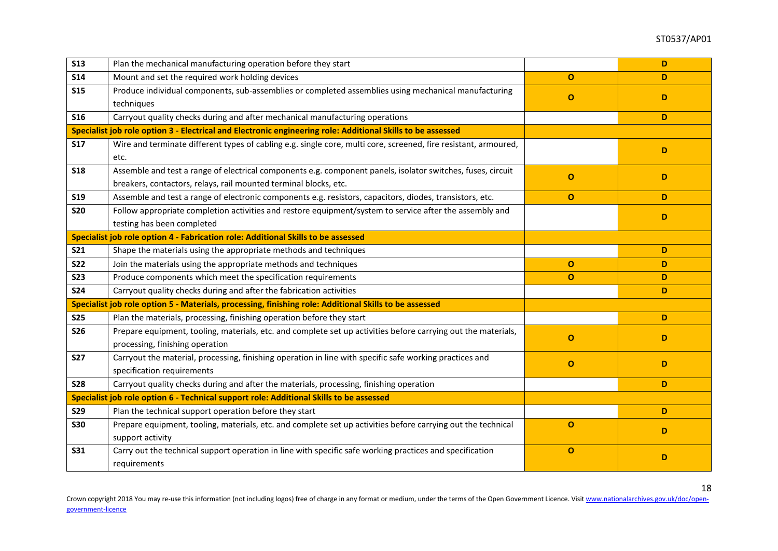| <b>S13</b> | Plan the mechanical manufacturing operation before they start                                                                                                                   |              | D  |
|------------|---------------------------------------------------------------------------------------------------------------------------------------------------------------------------------|--------------|----|
| <b>S14</b> | Mount and set the required work holding devices                                                                                                                                 | $\Omega$     | D  |
| <b>S15</b> | Produce individual components, sub-assemblies or completed assemblies using mechanical manufacturing                                                                            | $\mathbf{o}$ | D  |
|            | techniques                                                                                                                                                                      |              |    |
| <b>S16</b> | Carryout quality checks during and after mechanical manufacturing operations                                                                                                    |              | D. |
|            | Specialist job role option 3 - Electrical and Electronic engineering role: Additional Skills to be assessed                                                                     |              |    |
| <b>S17</b> | Wire and terminate different types of cabling e.g. single core, multi core, screened, fire resistant, armoured,<br>etc.                                                         |              | D  |
| <b>S18</b> | Assemble and test a range of electrical components e.g. component panels, isolator switches, fuses, circuit<br>breakers, contactors, relays, rail mounted terminal blocks, etc. | $\Omega$     | D  |
| <b>S19</b> | Assemble and test a range of electronic components e.g. resistors, capacitors, diodes, transistors, etc.                                                                        | $\mathbf 0$  | D  |
| <b>S20</b> | Follow appropriate completion activities and restore equipment/system to service after the assembly and<br>testing has been completed                                           |              | D  |
|            | Specialist job role option 4 - Fabrication role: Additional Skills to be assessed                                                                                               |              |    |
| <b>S21</b> | Shape the materials using the appropriate methods and techniques                                                                                                                |              | D  |
| <b>S22</b> | Join the materials using the appropriate methods and techniques                                                                                                                 | $\mathbf 0$  | D  |
| <b>S23</b> | Produce components which meet the specification requirements                                                                                                                    | $\mathbf{o}$ | D  |
| <b>S24</b> | Carryout quality checks during and after the fabrication activities                                                                                                             |              | D  |
|            | Specialist job role option 5 - Materials, processing, finishing role: Additional Skills to be assessed                                                                          |              |    |
| <b>S25</b> | Plan the materials, processing, finishing operation before they start                                                                                                           |              | D  |
| <b>S26</b> | Prepare equipment, tooling, materials, etc. and complete set up activities before carrying out the materials,<br>processing, finishing operation                                | $\Omega$     | D  |
| <b>S27</b> | Carryout the material, processing, finishing operation in line with specific safe working practices and<br>specification requirements                                           | $\mathbf{o}$ | D. |
| <b>S28</b> | Carryout quality checks during and after the materials, processing, finishing operation                                                                                         |              | D  |
|            | Specialist job role option 6 - Technical support role: Additional Skills to be assessed                                                                                         |              |    |
| <b>S29</b> | Plan the technical support operation before they start                                                                                                                          |              | D  |
| <b>S30</b> | Prepare equipment, tooling, materials, etc. and complete set up activities before carrying out the technical                                                                    | $\Omega$     | D. |
|            | support activity                                                                                                                                                                |              |    |
| <b>S31</b> | Carry out the technical support operation in line with specific safe working practices and specification<br>requirements                                                        | $\mathbf{o}$ | D  |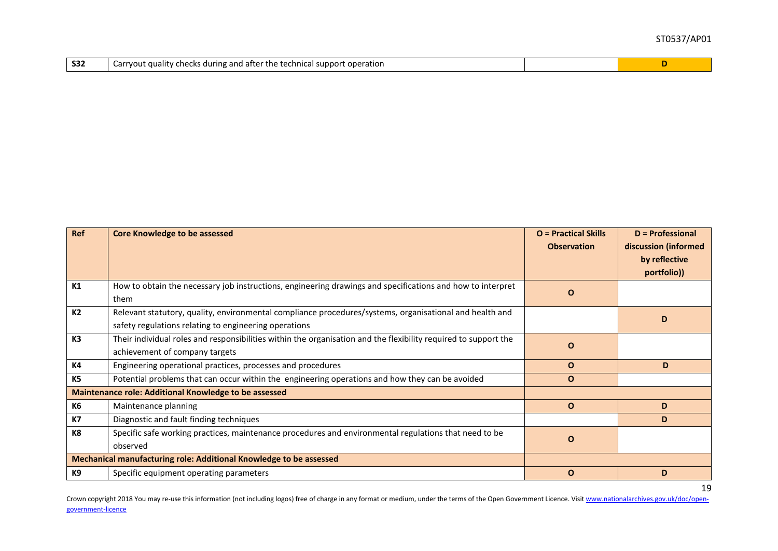| <b>S32</b> | y checks during and after the technical support operation<br>Carryout quality |  |  |
|------------|-------------------------------------------------------------------------------|--|--|
|------------|-------------------------------------------------------------------------------|--|--|

| Ref            | <b>Core Knowledge to be assessed</b>                                                                            | <b>O</b> = Practical Skills | <b>D</b> = Professional |
|----------------|-----------------------------------------------------------------------------------------------------------------|-----------------------------|-------------------------|
|                |                                                                                                                 | <b>Observation</b>          | discussion (informed    |
|                |                                                                                                                 |                             | by reflective           |
|                |                                                                                                                 |                             | portfolio))             |
| K1             | How to obtain the necessary job instructions, engineering drawings and specifications and how to interpret      | $\mathbf{o}$                |                         |
|                | them                                                                                                            |                             |                         |
| K <sub>2</sub> | Relevant statutory, quality, environmental compliance procedures/systems, organisational and health and         |                             | D                       |
|                | safety regulations relating to engineering operations                                                           |                             |                         |
| K3             | Their individual roles and responsibilities within the organisation and the flexibility required to support the | $\mathbf{o}$                |                         |
|                | achievement of company targets                                                                                  |                             |                         |
| K4             | Engineering operational practices, processes and procedures                                                     | $\Omega$                    | D                       |
| <b>K5</b>      | Potential problems that can occur within the engineering operations and how they can be avoided                 | $\mathbf{O}$                |                         |
|                | <b>Maintenance role: Additional Knowledge to be assessed</b>                                                    |                             |                         |
| <b>K6</b>      | Maintenance planning                                                                                            | $\Omega$                    | D                       |
| <b>K7</b>      | Diagnostic and fault finding techniques                                                                         |                             | D                       |
| K8             | Specific safe working practices, maintenance procedures and environmental regulations that need to be           | $\mathbf{o}$                |                         |
|                | observed                                                                                                        |                             |                         |
|                | Mechanical manufacturing role: Additional Knowledge to be assessed                                              |                             |                         |
| K9             | Specific equipment operating parameters                                                                         | $\mathbf{o}$                | D                       |
|                |                                                                                                                 |                             | 19                      |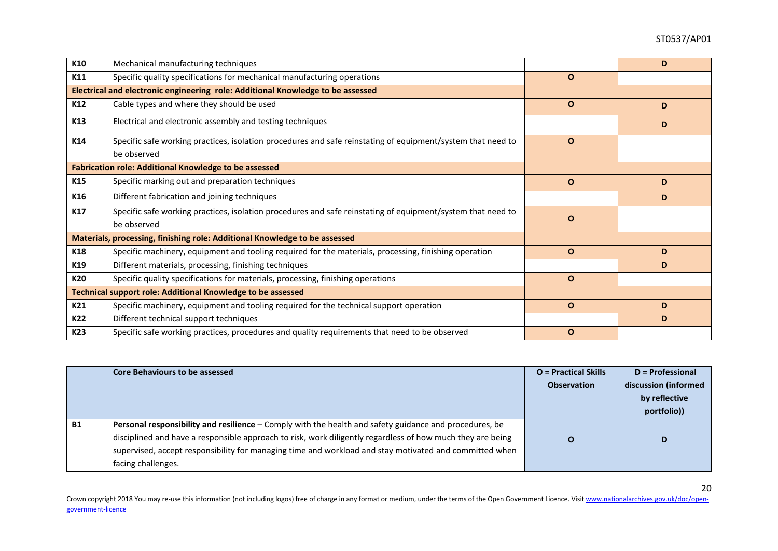| K10             | Mechanical manufacturing techniques                                                                                        |              | D |
|-----------------|----------------------------------------------------------------------------------------------------------------------------|--------------|---|
| K11             | Specific quality specifications for mechanical manufacturing operations                                                    | $\mathbf{O}$ |   |
|                 | Electrical and electronic engineering role: Additional Knowledge to be assessed                                            |              |   |
| K12             | Cable types and where they should be used                                                                                  | $\mathbf O$  | D |
| K13             | Electrical and electronic assembly and testing techniques                                                                  |              | D |
| K14             | Specific safe working practices, isolation procedures and safe reinstating of equipment/system that need to<br>be observed | $\mathbf O$  |   |
|                 | <b>Fabrication role: Additional Knowledge to be assessed</b>                                                               |              |   |
| K <sub>15</sub> | Specific marking out and preparation techniques                                                                            | $\mathbf O$  | D |
| K16             | Different fabrication and joining techniques                                                                               |              | D |
| K17             | Specific safe working practices, isolation procedures and safe reinstating of equipment/system that need to<br>be observed | $\Omega$     |   |
|                 | Materials, processing, finishing role: Additional Knowledge to be assessed                                                 |              |   |
| K18             | Specific machinery, equipment and tooling required for the materials, processing, finishing operation                      | $\mathbf 0$  | D |
| K19             | Different materials, processing, finishing techniques                                                                      |              | D |
| K20             | Specific quality specifications for materials, processing, finishing operations                                            | $\mathbf O$  |   |
|                 | Technical support role: Additional Knowledge to be assessed                                                                |              |   |
| K21             | Specific machinery, equipment and tooling required for the technical support operation                                     | $\Omega$     | D |
| K22             | Different technical support techniques                                                                                     |              | D |
| K23             | Specific safe working practices, procedures and quality requirements that need to be observed                              | $\mathbf 0$  |   |

|           | <b>Core Behaviours to be assessed</b>                                                                                                                                                                                                                                                                                                                | <b>O</b> = Practical Skills<br><b>Observation</b> | D = Professional<br>discussion (informed<br>by reflective<br>portfolio)) |
|-----------|------------------------------------------------------------------------------------------------------------------------------------------------------------------------------------------------------------------------------------------------------------------------------------------------------------------------------------------------------|---------------------------------------------------|--------------------------------------------------------------------------|
| <b>B1</b> | Personal responsibility and resilience - Comply with the health and safety guidance and procedures, be<br>disciplined and have a responsible approach to risk, work diligently regardless of how much they are being<br>supervised, accept responsibility for managing time and workload and stay motivated and committed when<br>facing challenges. | $\Omega$                                          | D                                                                        |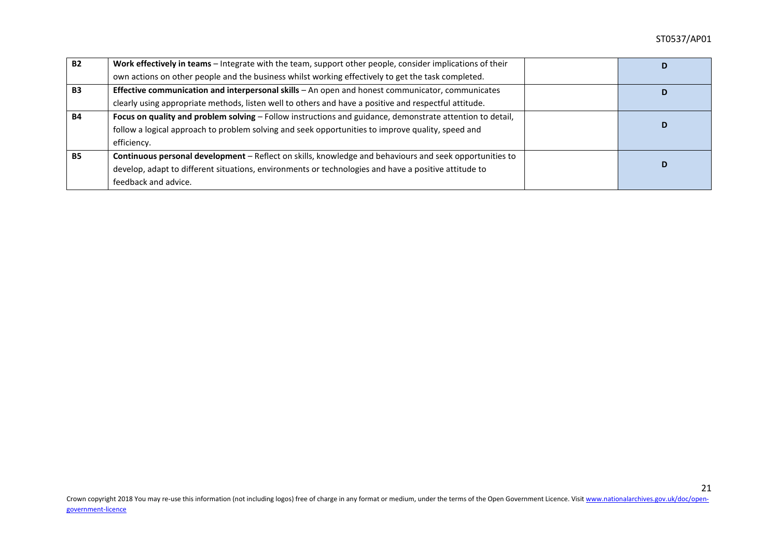| <b>B2</b> | Work effectively in teams - Integrate with the team, support other people, consider implications of their<br>D |  |   |
|-----------|----------------------------------------------------------------------------------------------------------------|--|---|
|           | own actions on other people and the business whilst working effectively to get the task completed.             |  |   |
| <b>B3</b> | Effective communication and interpersonal skills - An open and honest communicator, communicates               |  |   |
|           | clearly using appropriate methods, listen well to others and have a positive and respectful attitude.          |  |   |
| <b>B4</b> | Focus on quality and problem solving - Follow instructions and guidance, demonstrate attention to detail,      |  |   |
|           | follow a logical approach to problem solving and seek opportunities to improve quality, speed and              |  | D |
|           | efficiency.                                                                                                    |  |   |
| <b>B5</b> | Continuous personal development - Reflect on skills, knowledge and behaviours and seek opportunities to        |  |   |
|           | develop, adapt to different situations, environments or technologies and have a positive attitude to           |  | D |
|           | feedback and advice.                                                                                           |  |   |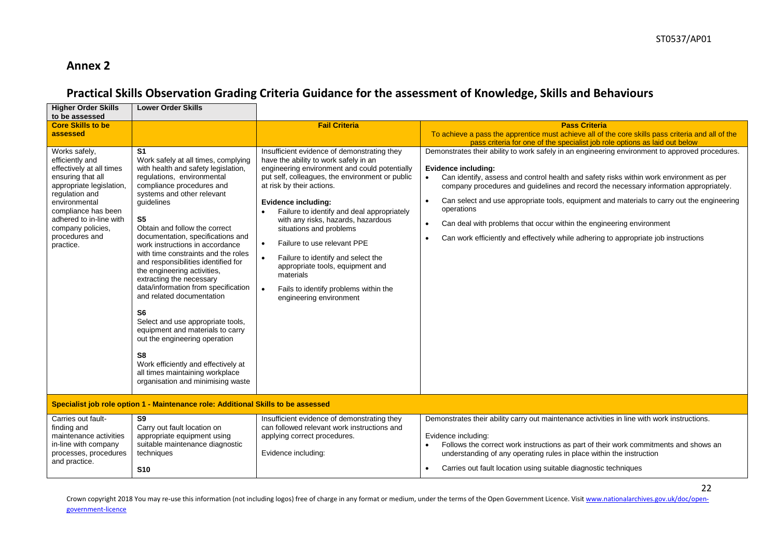### **Annex 2**

### **Practical Skills Observation Grading Criteria Guidance for the assessment of Knowledge, Skills and Behaviours**

| <b>Higher Order Skills</b><br>to be assessed                                                                                                                                                                                                           | <b>Lower Order Skills</b>                                                                                                                                                                                                                                                                                                                                                                                                                                                                                                                                                                                                                                                                                                                                                                                |                                                                                                                                                                                                                                                                                                                                                                                                                                                                                                                                                                                              |                                                                                                                                                                                                                                                                                                                                                                                                                                                                                                                                                                                                                                                  |
|--------------------------------------------------------------------------------------------------------------------------------------------------------------------------------------------------------------------------------------------------------|----------------------------------------------------------------------------------------------------------------------------------------------------------------------------------------------------------------------------------------------------------------------------------------------------------------------------------------------------------------------------------------------------------------------------------------------------------------------------------------------------------------------------------------------------------------------------------------------------------------------------------------------------------------------------------------------------------------------------------------------------------------------------------------------------------|----------------------------------------------------------------------------------------------------------------------------------------------------------------------------------------------------------------------------------------------------------------------------------------------------------------------------------------------------------------------------------------------------------------------------------------------------------------------------------------------------------------------------------------------------------------------------------------------|--------------------------------------------------------------------------------------------------------------------------------------------------------------------------------------------------------------------------------------------------------------------------------------------------------------------------------------------------------------------------------------------------------------------------------------------------------------------------------------------------------------------------------------------------------------------------------------------------------------------------------------------------|
| <b>Core Skills to be</b><br>assessed                                                                                                                                                                                                                   |                                                                                                                                                                                                                                                                                                                                                                                                                                                                                                                                                                                                                                                                                                                                                                                                          | <b>Fail Criteria</b>                                                                                                                                                                                                                                                                                                                                                                                                                                                                                                                                                                         | <b>Pass Criteria</b><br>To achieve a pass the apprentice must achieve all of the core skills pass criteria and all of the<br>pass criteria for one of the specialist job role options as laid out below                                                                                                                                                                                                                                                                                                                                                                                                                                          |
| Works safely,<br>efficiently and<br>effectively at all times<br>ensuring that all<br>appropriate legislation,<br>regulation and<br>environmental<br>compliance has been<br>adhered to in-line with<br>company policies,<br>procedures and<br>practice. | S <sub>1</sub><br>Work safely at all times, complying<br>with health and safety legislation,<br>regulations, environmental<br>compliance procedures and<br>systems and other relevant<br>quidelines<br>S <sub>5</sub><br>Obtain and follow the correct<br>documentation, specifications and<br>work instructions in accordance<br>with time constraints and the roles<br>and responsibilities identified for<br>the engineering activities,<br>extracting the necessary<br>data/information from specification<br>and related documentation<br>S <sub>6</sub><br>Select and use appropriate tools,<br>equipment and materials to carry<br>out the engineering operation<br>S <sub>8</sub><br>Work efficiently and effectively at<br>all times maintaining workplace<br>organisation and minimising waste | Insufficient evidence of demonstrating they<br>have the ability to work safely in an<br>engineering environment and could potentially<br>put self, colleagues, the environment or public<br>at risk by their actions.<br>Evidence including:<br>Failure to identify and deal appropriately<br>with any risks, hazards, hazardous<br>situations and problems<br>Failure to use relevant PPE<br>$\bullet$<br>Failure to identify and select the<br>$\bullet$<br>appropriate tools, equipment and<br>materials<br>Fails to identify problems within the<br>$\bullet$<br>engineering environment | Demonstrates their ability to work safely in an engineering environment to approved procedures.<br><b>Evidence including:</b><br>Can identify, assess and control health and safety risks within work environment as per<br>$\bullet$<br>company procedures and guidelines and record the necessary information appropriately.<br>Can select and use appropriate tools, equipment and materials to carry out the engineering<br>$\bullet$<br>operations<br>Can deal with problems that occur within the engineering environment<br>$\bullet$<br>Can work efficiently and effectively while adhering to appropriate job instructions<br>$\bullet$ |
|                                                                                                                                                                                                                                                        | Specialist job role option 1 - Maintenance role: Additional Skills to be assessed                                                                                                                                                                                                                                                                                                                                                                                                                                                                                                                                                                                                                                                                                                                        |                                                                                                                                                                                                                                                                                                                                                                                                                                                                                                                                                                                              |                                                                                                                                                                                                                                                                                                                                                                                                                                                                                                                                                                                                                                                  |
| Carries out fault-<br>finding and<br>maintenance activities<br>in-line with company<br>processes, procedures<br>and practice.                                                                                                                          | $\overline{\mathbf{S9}}$<br>Carry out fault location on<br>appropriate equipment using<br>suitable maintenance diagnostic<br>techniques<br><b>S10</b>                                                                                                                                                                                                                                                                                                                                                                                                                                                                                                                                                                                                                                                    | Insufficient evidence of demonstrating they<br>can followed relevant work instructions and<br>applying correct procedures.<br>Evidence including:                                                                                                                                                                                                                                                                                                                                                                                                                                            | Demonstrates their ability carry out maintenance activities in line with work instructions.<br>Evidence including:<br>Follows the correct work instructions as part of their work commitments and shows an<br>understanding of any operating rules in place within the instruction<br>Carries out fault location using suitable diagnostic techniques<br>$\bullet$                                                                                                                                                                                                                                                                               |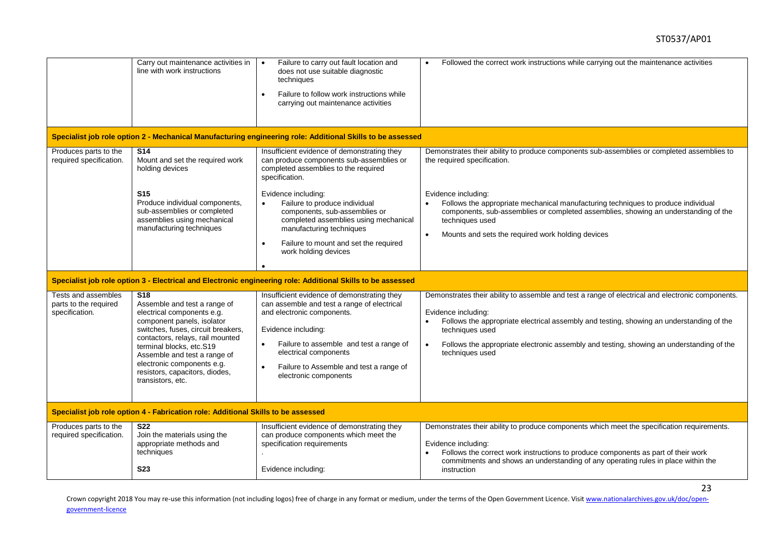|                                                                | Carry out maintenance activities in<br>line with work instructions                                                                                                                                                                                                                                                                     | Failure to carry out fault location and<br>$\bullet$<br>does not use suitable diagnostic<br>techniques<br>Failure to follow work instructions while<br>$\bullet$<br>carrying out maintenance activities                                                                                              | Followed the correct work instructions while carrying out the maintenance activities<br>$\bullet$                                                                                                                                                                                                                                                                  |
|----------------------------------------------------------------|----------------------------------------------------------------------------------------------------------------------------------------------------------------------------------------------------------------------------------------------------------------------------------------------------------------------------------------|------------------------------------------------------------------------------------------------------------------------------------------------------------------------------------------------------------------------------------------------------------------------------------------------------|--------------------------------------------------------------------------------------------------------------------------------------------------------------------------------------------------------------------------------------------------------------------------------------------------------------------------------------------------------------------|
|                                                                |                                                                                                                                                                                                                                                                                                                                        | Specialist job role option 2 - Mechanical Manufacturing engineering role: Additional Skills to be assessed                                                                                                                                                                                           |                                                                                                                                                                                                                                                                                                                                                                    |
| Produces parts to the<br>required specification.               | <b>S14</b><br>Mount and set the required work<br>holding devices                                                                                                                                                                                                                                                                       | Insufficient evidence of demonstrating they<br>can produce components sub-assemblies or<br>completed assemblies to the required<br>specification.                                                                                                                                                    | Demonstrates their ability to produce components sub-assemblies or completed assemblies to<br>the required specification.                                                                                                                                                                                                                                          |
|                                                                | <b>S15</b><br>Produce individual components,<br>sub-assemblies or completed<br>assemblies using mechanical<br>manufacturing techniques                                                                                                                                                                                                 | Evidence including:<br>Failure to produce individual<br>components, sub-assemblies or<br>completed assemblies using mechanical<br>manufacturing techniques<br>Failure to mount and set the required<br>work holding devices                                                                          | Evidence including:<br>Follows the appropriate mechanical manufacturing techniques to produce individual<br>components, sub-assemblies or completed assemblies, showing an understanding of the<br>techniques used<br>Mounts and sets the required work holding devices<br>$\bullet$                                                                               |
|                                                                |                                                                                                                                                                                                                                                                                                                                        | Specialist job role option 3 - Electrical and Electronic engineering role: Additional Skills to be assessed                                                                                                                                                                                          |                                                                                                                                                                                                                                                                                                                                                                    |
| Tests and assembles<br>parts to the required<br>specification. | S <sub>18</sub><br>Assemble and test a range of<br>electrical components e.g.<br>component panels, isolator<br>switches, fuses, circuit breakers,<br>contactors, relays, rail mounted<br>terminal blocks, etc.S19<br>Assemble and test a range of<br>electronic components e.g.<br>resistors, capacitors, diodes,<br>transistors, etc. | Insufficient evidence of demonstrating they<br>can assemble and test a range of electrical<br>and electronic components.<br>Evidence including:<br>Failure to assemble and test a range of<br>$\bullet$<br>electrical components<br>Failure to Assemble and test a range of<br>electronic components | Demonstrates their ability to assemble and test a range of electrical and electronic components.<br>Evidence including:<br>Follows the appropriate electrical assembly and testing, showing an understanding of the<br>techniques used<br>Follows the appropriate electronic assembly and testing, showing an understanding of the<br>$\bullet$<br>techniques used |
|                                                                | Specialist job role option 4 - Fabrication role: Additional Skills to be assessed                                                                                                                                                                                                                                                      |                                                                                                                                                                                                                                                                                                      |                                                                                                                                                                                                                                                                                                                                                                    |
| Produces parts to the<br>required specification.               | <b>S22</b><br>Join the materials using the<br>appropriate methods and<br>techniques<br><b>S23</b>                                                                                                                                                                                                                                      | Insufficient evidence of demonstrating they<br>can produce components which meet the<br>specification requirements<br>Evidence including:                                                                                                                                                            | Demonstrates their ability to produce components which meet the specification requirements.<br>Evidence including:<br>Follows the correct work instructions to produce components as part of their work<br>commitments and shows an understanding of any operating rules in place within the<br>instruction                                                        |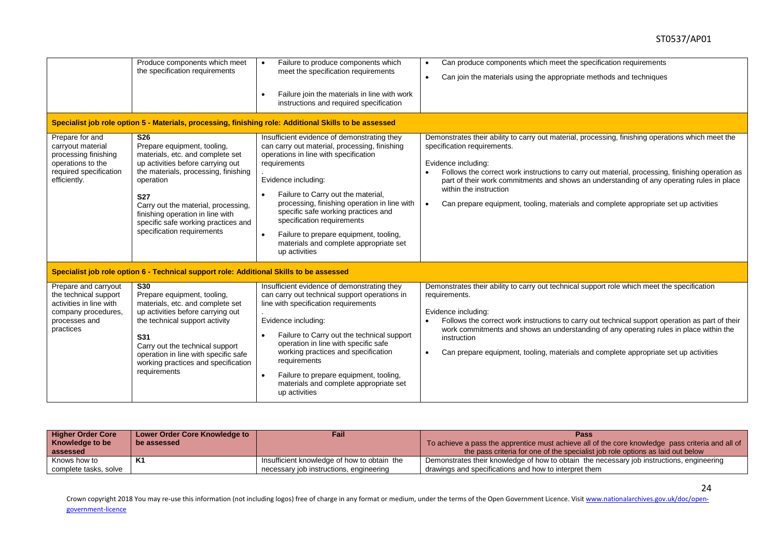#### ST0537/AP01

|                                                                                                                               | Produce components which meet<br>the specification requirements                                                                                                                                                                                                                                                                            | Failure to produce components which<br>meet the specification requirements<br>Failure join the materials in line with work<br>instructions and required specification<br>Specialist job role option 5 - Materials, processing, finishing role: Additional Skills to be assessed                                                                                                                                                              | Can produce components which meet the specification requirements<br>$\bullet$<br>Can join the materials using the appropriate methods and techniques<br>$\bullet$                                                                                                                                                                                                                                                                                                                      |
|-------------------------------------------------------------------------------------------------------------------------------|--------------------------------------------------------------------------------------------------------------------------------------------------------------------------------------------------------------------------------------------------------------------------------------------------------------------------------------------|----------------------------------------------------------------------------------------------------------------------------------------------------------------------------------------------------------------------------------------------------------------------------------------------------------------------------------------------------------------------------------------------------------------------------------------------|----------------------------------------------------------------------------------------------------------------------------------------------------------------------------------------------------------------------------------------------------------------------------------------------------------------------------------------------------------------------------------------------------------------------------------------------------------------------------------------|
| Prepare for and<br>carryout material<br>processing finishing<br>operations to the<br>required specification<br>efficiently.   | S <sub>26</sub><br>Prepare equipment, tooling,<br>materials, etc. and complete set<br>up activities before carrying out<br>the materials, processing, finishing<br>operation<br><b>S27</b><br>Carry out the material, processing,<br>finishing operation in line with<br>specific safe working practices and<br>specification requirements | Insufficient evidence of demonstrating they<br>can carry out material, processing, finishing<br>operations in line with specification<br>requirements<br>Evidence including:<br>Failure to Carry out the material,<br>processing, finishing operation in line with<br>specific safe working practices and<br>specification requirements<br>Failure to prepare equipment, tooling,<br>materials and complete appropriate set<br>up activities | Demonstrates their ability to carry out material, processing, finishing operations which meet the<br>specification requirements.<br>Evidence including:<br>Follows the correct work instructions to carry out material, processing, finishing operation as<br>part of their work commitments and shows an understanding of any operating rules in place<br>within the instruction<br>Can prepare equipment, tooling, materials and complete appropriate set up activities<br>$\bullet$ |
|                                                                                                                               | Specialist job role option 6 - Technical support role: Additional Skills to be assessed                                                                                                                                                                                                                                                    |                                                                                                                                                                                                                                                                                                                                                                                                                                              |                                                                                                                                                                                                                                                                                                                                                                                                                                                                                        |
| Prepare and carryout<br>the technical support<br>activities in line with<br>company procedures,<br>processes and<br>practices | <b>S30</b><br>Prepare equipment, tooling,<br>materials, etc. and complete set<br>up activities before carrying out<br>the technical support activity<br>S31<br>Carry out the technical support<br>operation in line with specific safe<br>working practices and specification<br>requirements                                              | Insufficient evidence of demonstrating they<br>can carry out technical support operations in<br>line with specification requirements<br>Evidence including:<br>Failure to Carry out the technical support<br>operation in line with specific safe<br>working practices and specification<br>requirements<br>Failure to prepare equipment, tooling,<br>materials and complete appropriate set<br>up activities                                | Demonstrates their ability to carry out technical support role which meet the specification<br>requirements.<br>Evidence including:<br>Follows the correct work instructions to carry out technical support operation as part of their<br>work commitments and shows an understanding of any operating rules in place within the<br>instruction<br>Can prepare equipment, tooling, materials and complete appropriate set up activities                                                |

| <b>Higher Order Core</b> | Lower Order Core Knowledge to | Fail                                        | Pass                                                                                             |  |
|--------------------------|-------------------------------|---------------------------------------------|--------------------------------------------------------------------------------------------------|--|
| <b>Knowledge to be</b>   | be assessed                   |                                             | To achieve a pass the apprentice must achieve all of the core knowledge pass criteria and all of |  |
| assessed                 |                               |                                             | the pass criteria for one of the specialist job role options as laid out below                   |  |
| Knows how to             | K1                            | Insufficient knowledge of how to obtain the | Demonstrates their knowledge of how to obtain the necessary job instructions, engineering        |  |
| complete tasks, solve    |                               | necessary job instructions, engineering     | drawings and specifications and how to interpret them                                            |  |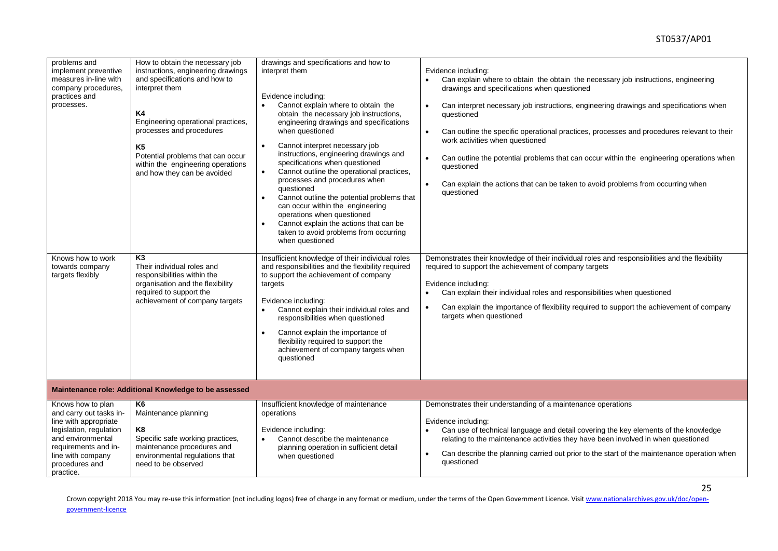| problems and<br>implement preventive<br>measures in-line with<br>company procedures,<br>practices and<br>processes.                                                                               | How to obtain the necessary job<br>instructions, engineering drawings<br>and specifications and how to<br>interpret them<br><b>K4</b><br>Engineering operational practices,<br>processes and procedures<br>K <sub>5</sub><br>Potential problems that can occur<br>within the engineering operations<br>and how they can be avoided | drawings and specifications and how to<br>interpret them<br>Evidence including:<br>Cannot explain where to obtain the<br>obtain the necessary job instructions,<br>engineering drawings and specifications<br>when questioned<br>Cannot interpret necessary job<br>instructions, engineering drawings and<br>specifications when questioned<br>Cannot outline the operational practices,<br>processes and procedures when<br>questioned<br>Cannot outline the potential problems that<br>can occur within the engineering<br>operations when questioned<br>Cannot explain the actions that can be<br>taken to avoid problems from occurring<br>when questioned | Evidence including:<br>Can explain where to obtain the obtain the necessary job instructions, engineering<br>$\bullet$<br>drawings and specifications when questioned<br>Can interpret necessary job instructions, engineering drawings and specifications when<br>$\bullet$<br>questioned<br>Can outline the specific operational practices, processes and procedures relevant to their<br>work activities when questioned<br>Can outline the potential problems that can occur within the engineering operations when<br>questioned<br>Can explain the actions that can be taken to avoid problems from occurring when<br>questioned |
|---------------------------------------------------------------------------------------------------------------------------------------------------------------------------------------------------|------------------------------------------------------------------------------------------------------------------------------------------------------------------------------------------------------------------------------------------------------------------------------------------------------------------------------------|----------------------------------------------------------------------------------------------------------------------------------------------------------------------------------------------------------------------------------------------------------------------------------------------------------------------------------------------------------------------------------------------------------------------------------------------------------------------------------------------------------------------------------------------------------------------------------------------------------------------------------------------------------------|----------------------------------------------------------------------------------------------------------------------------------------------------------------------------------------------------------------------------------------------------------------------------------------------------------------------------------------------------------------------------------------------------------------------------------------------------------------------------------------------------------------------------------------------------------------------------------------------------------------------------------------|
| Knows how to work<br>towards company<br>targets flexibly                                                                                                                                          | K <sub>3</sub><br>Their individual roles and<br>responsibilities within the<br>organisation and the flexibility<br>required to support the<br>achievement of company targets                                                                                                                                                       | Insufficient knowledge of their individual roles<br>and responsibilities and the flexibility required<br>to support the achievement of company<br>targets<br>Evidence including:<br>Cannot explain their individual roles and<br>responsibilities when questioned<br>Cannot explain the importance of<br>flexibility required to support the<br>achievement of company targets when<br>questioned                                                                                                                                                                                                                                                              | Demonstrates their knowledge of their individual roles and responsibilities and the flexibility<br>required to support the achievement of company targets<br>Evidence including:<br>Can explain their individual roles and responsibilities when questioned<br>Can explain the importance of flexibility required to support the achievement of company<br>targets when questioned                                                                                                                                                                                                                                                     |
|                                                                                                                                                                                                   | Maintenance role: Additional Knowledge to be assessed                                                                                                                                                                                                                                                                              |                                                                                                                                                                                                                                                                                                                                                                                                                                                                                                                                                                                                                                                                |                                                                                                                                                                                                                                                                                                                                                                                                                                                                                                                                                                                                                                        |
| Knows how to plan<br>and carry out tasks in-<br>line with appropriate<br>legislation, regulation<br>and environmental<br>requirements and in-<br>line with company<br>procedures and<br>practice. | K6<br>Maintenance planning<br>K <sub>8</sub><br>Specific safe working practices,<br>maintenance procedures and<br>environmental regulations that<br>need to be observed                                                                                                                                                            | Insufficient knowledge of maintenance<br>operations<br>Evidence including:<br>Cannot describe the maintenance<br>planning operation in sufficient detail<br>when questioned                                                                                                                                                                                                                                                                                                                                                                                                                                                                                    | Demonstrates their understanding of a maintenance operations<br>Evidence including:<br>Can use of technical language and detail covering the key elements of the knowledge<br>$\bullet$<br>relating to the maintenance activities they have been involved in when questioned<br>Can describe the planning carried out prior to the start of the maintenance operation when<br>questioned                                                                                                                                                                                                                                               |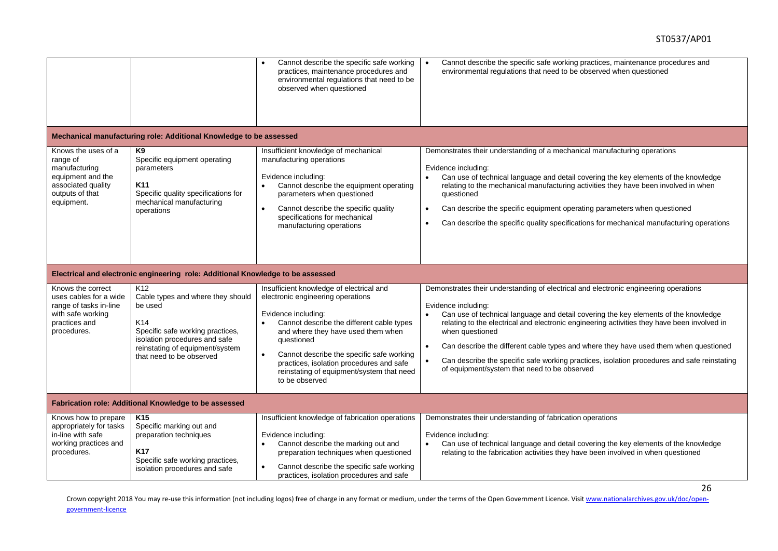|                                                                                                                              |                                                                                                                                                                                                            | Cannot describe the specific safe working<br>practices, maintenance procedures and<br>environmental regulations that need to be<br>observed when questioned                                                                                                                                                                                                                | Cannot describe the specific safe working practices, maintenance procedures and<br>$\bullet$<br>environmental regulations that need to be observed when questioned                                                                                                                                                                                                                                                                                                                                                                                                       |
|------------------------------------------------------------------------------------------------------------------------------|------------------------------------------------------------------------------------------------------------------------------------------------------------------------------------------------------------|----------------------------------------------------------------------------------------------------------------------------------------------------------------------------------------------------------------------------------------------------------------------------------------------------------------------------------------------------------------------------|--------------------------------------------------------------------------------------------------------------------------------------------------------------------------------------------------------------------------------------------------------------------------------------------------------------------------------------------------------------------------------------------------------------------------------------------------------------------------------------------------------------------------------------------------------------------------|
|                                                                                                                              | Mechanical manufacturing role: Additional Knowledge to be assessed                                                                                                                                         |                                                                                                                                                                                                                                                                                                                                                                            |                                                                                                                                                                                                                                                                                                                                                                                                                                                                                                                                                                          |
| Knows the uses of a<br>range of<br>manufacturing<br>equipment and the<br>associated quality<br>outputs of that<br>equipment. | K <sub>9</sub><br>Specific equipment operating<br>parameters<br>K <sub>11</sub><br>Specific quality specifications for<br>mechanical manufacturing<br>operations                                           | Insufficient knowledge of mechanical<br>manufacturing operations<br>Evidence including:<br>Cannot describe the equipment operating<br>parameters when questioned<br>Cannot describe the specific quality<br>specifications for mechanical<br>manufacturing operations                                                                                                      | Demonstrates their understanding of a mechanical manufacturing operations<br>Evidence including:<br>Can use of technical language and detail covering the key elements of the knowledge<br>relating to the mechanical manufacturing activities they have been involved in when<br>questioned<br>Can describe the specific equipment operating parameters when questioned<br>$\bullet$<br>Can describe the specific quality specifications for mechanical manufacturing operations                                                                                        |
|                                                                                                                              | Electrical and electronic engineering role: Additional Knowledge to be assessed                                                                                                                            |                                                                                                                                                                                                                                                                                                                                                                            |                                                                                                                                                                                                                                                                                                                                                                                                                                                                                                                                                                          |
| Knows the correct<br>uses cables for a wide<br>range of tasks in-line<br>with safe working<br>practices and<br>procedures.   | K <sub>12</sub><br>Cable types and where they should<br>be used<br>K14<br>Specific safe working practices,<br>isolation procedures and safe<br>reinstating of equipment/system<br>that need to be observed | Insufficient knowledge of electrical and<br>electronic engineering operations<br>Evidence including:<br>Cannot describe the different cable types<br>and where they have used them when<br>questioned<br>Cannot describe the specific safe working<br>$\bullet$<br>practices, isolation procedures and safe<br>reinstating of equipment/system that need<br>to be observed | Demonstrates their understanding of electrical and electronic engineering operations<br>Evidence including:<br>Can use of technical language and detail covering the key elements of the knowledge<br>relating to the electrical and electronic engineering activities they have been involved in<br>when questioned<br>Can describe the different cable types and where they have used them when questioned<br>$\bullet$<br>Can describe the specific safe working practices, isolation procedures and safe reinstating<br>of equipment/system that need to be observed |
|                                                                                                                              | Fabrication role: Additional Knowledge to be assessed                                                                                                                                                      |                                                                                                                                                                                                                                                                                                                                                                            |                                                                                                                                                                                                                                                                                                                                                                                                                                                                                                                                                                          |
| Knows how to prepare<br>appropriately for tasks<br>in-line with safe<br>working practices and<br>procedures.                 | K <sub>15</sub><br>Specific marking out and<br>preparation techniques<br><b>K17</b><br>Specific safe working practices,<br>isolation procedures and safe                                                   | Insufficient knowledge of fabrication operations<br>Evidence including:<br>Cannot describe the marking out and<br>$\bullet$<br>preparation techniques when questioned<br>Cannot describe the specific safe working<br>$\bullet$<br>practices, isolation procedures and safe                                                                                                | Demonstrates their understanding of fabrication operations<br>Evidence including:<br>Can use of technical language and detail covering the key elements of the knowledge<br>relating to the fabrication activities they have been involved in when questioned                                                                                                                                                                                                                                                                                                            |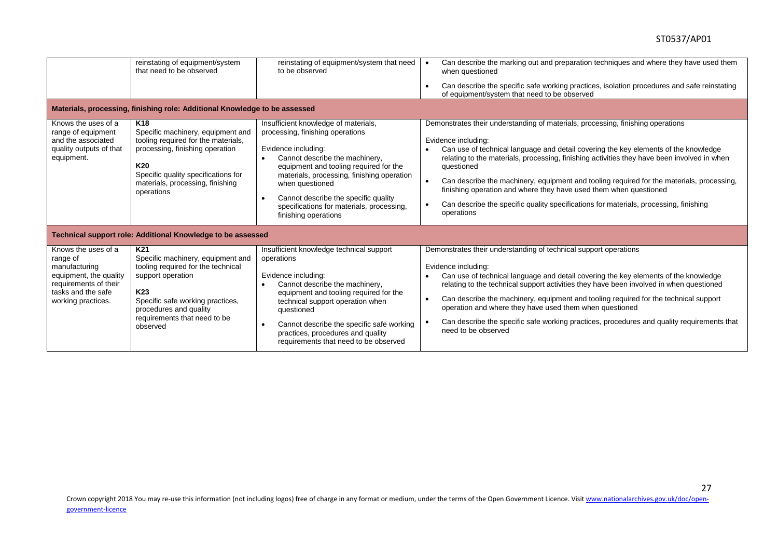|                                                                                                                                                 | reinstating of equipment/system<br>that need to be observed                                                                                                                                                                                  | reinstating of equipment/system that need<br>to be observed                                                                                                                                                                                                                                                                                                            | Can describe the marking out and preparation techniques and where they have used them<br>when questioned                                                                                                                                                                                                                                                                                                                                                                                                                                                                                                      |
|-------------------------------------------------------------------------------------------------------------------------------------------------|----------------------------------------------------------------------------------------------------------------------------------------------------------------------------------------------------------------------------------------------|------------------------------------------------------------------------------------------------------------------------------------------------------------------------------------------------------------------------------------------------------------------------------------------------------------------------------------------------------------------------|---------------------------------------------------------------------------------------------------------------------------------------------------------------------------------------------------------------------------------------------------------------------------------------------------------------------------------------------------------------------------------------------------------------------------------------------------------------------------------------------------------------------------------------------------------------------------------------------------------------|
|                                                                                                                                                 |                                                                                                                                                                                                                                              |                                                                                                                                                                                                                                                                                                                                                                        | Can describe the specific safe working practices, isolation procedures and safe reinstating<br>$\bullet$<br>of equipment/system that need to be observed                                                                                                                                                                                                                                                                                                                                                                                                                                                      |
|                                                                                                                                                 | Materials, processing, finishing role: Additional Knowledge to be assessed                                                                                                                                                                   |                                                                                                                                                                                                                                                                                                                                                                        |                                                                                                                                                                                                                                                                                                                                                                                                                                                                                                                                                                                                               |
| Knows the uses of a<br>range of equipment<br>and the associated<br>quality outputs of that<br>equipment.                                        | K <sub>18</sub><br>Specific machinery, equipment and<br>tooling required for the materials,<br>processing, finishing operation<br>K20<br>Specific quality specifications for<br>materials, processing, finishing<br>operations               | Insufficient knowledge of materials,<br>processing, finishing operations<br>Evidence including:<br>Cannot describe the machinery,<br>$\bullet$<br>equipment and tooling required for the<br>materials, processing, finishing operation<br>when questioned<br>Cannot describe the specific quality<br>specifications for materials, processing,<br>finishing operations | Demonstrates their understanding of materials, processing, finishing operations<br>Evidence including:<br>Can use of technical language and detail covering the key elements of the knowledge<br>relating to the materials, processing, finishing activities they have been involved in when<br>questioned<br>Can describe the machinery, equipment and tooling required for the materials, processing,<br>$\bullet$<br>finishing operation and where they have used them when questioned<br>Can describe the specific quality specifications for materials, processing, finishing<br>$\bullet$<br>operations |
|                                                                                                                                                 | Technical support role: Additional Knowledge to be assessed                                                                                                                                                                                  |                                                                                                                                                                                                                                                                                                                                                                        |                                                                                                                                                                                                                                                                                                                                                                                                                                                                                                                                                                                                               |
| Knows the uses of a<br>range of<br>manufacturing<br>equipment, the quality<br>requirements of their<br>tasks and the safe<br>working practices. | K <sub>21</sub><br>Specific machinery, equipment and<br>tooling required for the technical<br>support operation<br>K <sub>23</sub><br>Specific safe working practices,<br>procedures and quality<br>requirements that need to be<br>observed | Insufficient knowledge technical support<br>operations<br>Evidence including:<br>Cannot describe the machinery,<br>$\bullet$<br>equipment and tooling required for the<br>technical support operation when<br>questioned<br>Cannot describe the specific safe working<br>$\bullet$<br>practices, procedures and quality<br>requirements that need to be observed       | Demonstrates their understanding of technical support operations<br>Evidence including:<br>Can use of technical language and detail covering the key elements of the knowledge<br>relating to the technical support activities they have been involved in when questioned<br>Can describe the machinery, equipment and tooling required for the technical support<br>$\bullet$<br>operation and where they have used them when questioned<br>Can describe the specific safe working practices, procedures and quality requirements that<br>need to be observed                                                |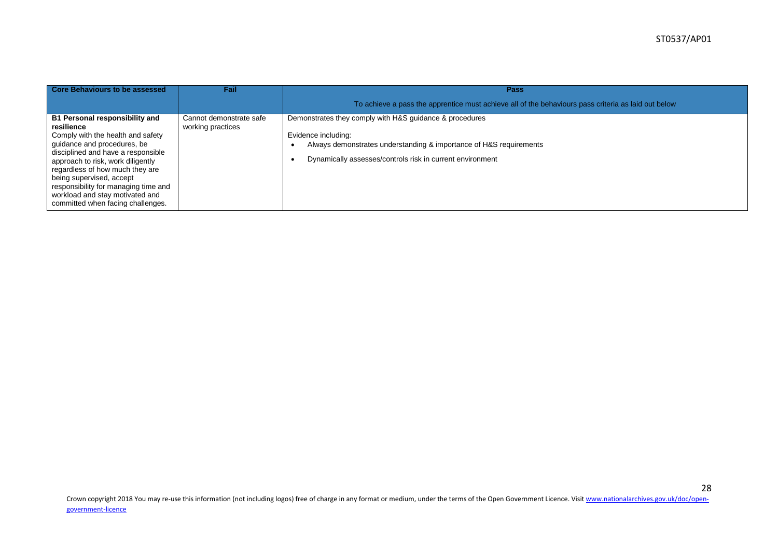| Core Behaviours to be assessed                                                                                                                                                                                                                                                                                                                                                    | Fail                                         | <b>Pass</b><br>To achieve a pass the apprentice must achieve all of the behaviours pass criteria as laid out below                                                                                                |
|-----------------------------------------------------------------------------------------------------------------------------------------------------------------------------------------------------------------------------------------------------------------------------------------------------------------------------------------------------------------------------------|----------------------------------------------|-------------------------------------------------------------------------------------------------------------------------------------------------------------------------------------------------------------------|
| <b>B1 Personal responsibility and</b><br>resilience<br>Comply with the health and safety<br>guidance and procedures, be<br>disciplined and have a responsible<br>approach to risk, work diligently<br>regardless of how much they are<br>being supervised, accept<br>responsibility for managing time and<br>workload and stay motivated and<br>committed when facing challenges. | Cannot demonstrate safe<br>working practices | Demonstrates they comply with H&S guidance & procedures<br>Evidence including:<br>Always demonstrates understanding & importance of H&S requirements<br>Dynamically assesses/controls risk in current environment |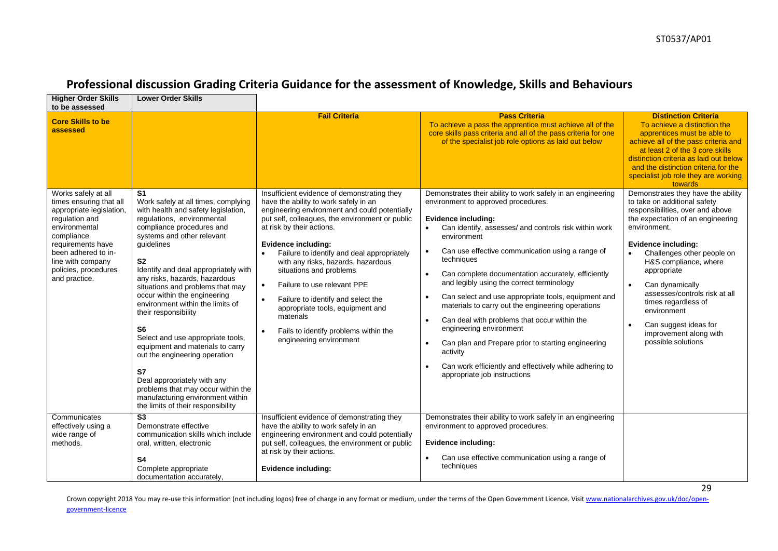| <b>Higher Order Skills</b><br>to be assessed                                                                                                                                                                                          | <b>Lower Order Skills</b>                                                                                                                                                                                                                                                                                                                                                                                                                                                                                                                                                                                                                                                                                              |                                                                                                                                                                                                                                                                                                                                                                                                                                                                                                                                                                    |                                                                                                                                                                                                                                                                                                                                                                                                                                                                                                                                                                                                                                                                                                                                                                                                                |                                                                                                                                                                                                                                                                                                                                                                                                                                                       |
|---------------------------------------------------------------------------------------------------------------------------------------------------------------------------------------------------------------------------------------|------------------------------------------------------------------------------------------------------------------------------------------------------------------------------------------------------------------------------------------------------------------------------------------------------------------------------------------------------------------------------------------------------------------------------------------------------------------------------------------------------------------------------------------------------------------------------------------------------------------------------------------------------------------------------------------------------------------------|--------------------------------------------------------------------------------------------------------------------------------------------------------------------------------------------------------------------------------------------------------------------------------------------------------------------------------------------------------------------------------------------------------------------------------------------------------------------------------------------------------------------------------------------------------------------|----------------------------------------------------------------------------------------------------------------------------------------------------------------------------------------------------------------------------------------------------------------------------------------------------------------------------------------------------------------------------------------------------------------------------------------------------------------------------------------------------------------------------------------------------------------------------------------------------------------------------------------------------------------------------------------------------------------------------------------------------------------------------------------------------------------|-------------------------------------------------------------------------------------------------------------------------------------------------------------------------------------------------------------------------------------------------------------------------------------------------------------------------------------------------------------------------------------------------------------------------------------------------------|
| <b>Core Skills to be</b><br>assessed                                                                                                                                                                                                  |                                                                                                                                                                                                                                                                                                                                                                                                                                                                                                                                                                                                                                                                                                                        | <b>Fail Criteria</b>                                                                                                                                                                                                                                                                                                                                                                                                                                                                                                                                               | <b>Pass Criteria</b><br>To achieve a pass the apprentice must achieve all of the<br>core skills pass criteria and all of the pass criteria for one<br>of the specialist job role options as laid out below                                                                                                                                                                                                                                                                                                                                                                                                                                                                                                                                                                                                     | <b>Distinction Criteria</b><br>To achieve a distinction the<br>apprentices must be able to<br>achieve all of the pass criteria and<br>at least 2 of the 3 core skills<br>distinction criteria as laid out below<br>and the distinction criteria for the<br>specialist job role they are working<br>towards                                                                                                                                            |
| Works safely at all<br>times ensuring that all<br>appropriate legislation,<br>regulation and<br>environmental<br>compliance<br>requirements have<br>been adhered to in-<br>line with company<br>policies, procedures<br>and practice. | S <sub>1</sub><br>Work safely at all times, complying<br>with health and safety legislation,<br>regulations, environmental<br>compliance procedures and<br>systems and other relevant<br>guidelines<br>S <sub>2</sub><br>Identify and deal appropriately with<br>any risks, hazards, hazardous<br>situations and problems that may<br>occur within the engineering<br>environment within the limits of<br>their responsibility<br>S <sub>6</sub><br>Select and use appropriate tools,<br>equipment and materials to carry<br>out the engineering operation<br><b>S7</b><br>Deal appropriately with any<br>problems that may occur within the<br>manufacturing environment within<br>the limits of their responsibility | Insufficient evidence of demonstrating they<br>have the ability to work safely in an<br>engineering environment and could potentially<br>put self, colleagues, the environment or public<br>at risk by their actions.<br>Evidence including:<br>Failure to identify and deal appropriately<br>with any risks, hazards, hazardous<br>situations and problems<br>Failure to use relevant PPE<br>$\bullet$<br>Failure to identify and select the<br>appropriate tools, equipment and<br>materials<br>Fails to identify problems within the<br>engineering environment | Demonstrates their ability to work safely in an engineering<br>environment to approved procedures.<br><b>Evidence including:</b><br>Can identify, assesses/ and controls risk within work<br>environment<br>Can use effective communication using a range of<br>$\bullet$<br>techniques<br>Can complete documentation accurately, efficiently<br>$\bullet$<br>and legibly using the correct terminology<br>Can select and use appropriate tools, equipment and<br>$\bullet$<br>materials to carry out the engineering operations<br>Can deal with problems that occur within the<br>$\bullet$<br>engineering environment<br>Can plan and Prepare prior to starting engineering<br>$\bullet$<br>activity<br>Can work efficiently and effectively while adhering to<br>$\bullet$<br>appropriate job instructions | Demonstrates they have the ability<br>to take on additional safety<br>responsibilities, over and above<br>the expectation of an engineering<br>environment.<br>Evidence including:<br>Challenges other people on<br>H&S compliance, where<br>appropriate<br>$\bullet$<br>Can dynamically<br>assesses/controls risk at all<br>times regardless of<br>environment<br>Can suggest ideas for<br>$\bullet$<br>improvement along with<br>possible solutions |
| Communicates<br>effectively using a<br>wide range of<br>methods.                                                                                                                                                                      | $\overline{\text{S3}}$<br>Demonstrate effective<br>communication skills which include<br>oral, written, electronic<br>S <sub>4</sub><br>Complete appropriate<br>documentation accurately,                                                                                                                                                                                                                                                                                                                                                                                                                                                                                                                              | Insufficient evidence of demonstrating they<br>have the ability to work safely in an<br>engineering environment and could potentially<br>put self, colleagues, the environment or public<br>at risk by their actions.<br>Evidence including:                                                                                                                                                                                                                                                                                                                       | Demonstrates their ability to work safely in an engineering<br>environment to approved procedures.<br>Evidence including:<br>Can use effective communication using a range of<br>techniques                                                                                                                                                                                                                                                                                                                                                                                                                                                                                                                                                                                                                    |                                                                                                                                                                                                                                                                                                                                                                                                                                                       |

# **Professional discussion Grading Criteria Guidance for the assessment of Knowledge, Skills and Behaviours**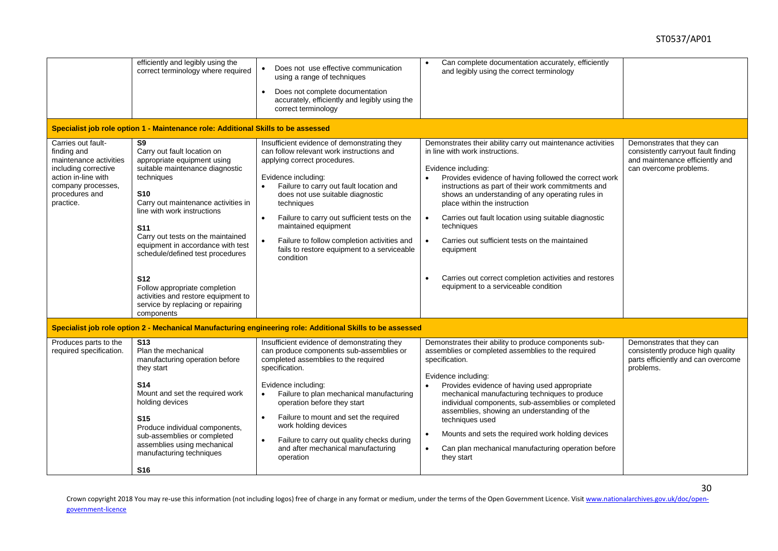|                                                                                                                                                                 | efficiently and legibly using the<br>correct terminology where required<br>Specialist job role option 1 - Maintenance role: Additional Skills to be assessed                                                                                                                                                                      | Does not use effective communication<br>$\bullet$<br>using a range of techniques<br>Does not complete documentation<br>accurately, efficiently and legibly using the<br>correct terminology                                                                                                                                                                                                                                                                  | Can complete documentation accurately, efficiently<br>and legibly using the correct terminology                                                                                                                                                                                                                                                                                                                                                                                                                                   |                                                                                                                                |
|-----------------------------------------------------------------------------------------------------------------------------------------------------------------|-----------------------------------------------------------------------------------------------------------------------------------------------------------------------------------------------------------------------------------------------------------------------------------------------------------------------------------|--------------------------------------------------------------------------------------------------------------------------------------------------------------------------------------------------------------------------------------------------------------------------------------------------------------------------------------------------------------------------------------------------------------------------------------------------------------|-----------------------------------------------------------------------------------------------------------------------------------------------------------------------------------------------------------------------------------------------------------------------------------------------------------------------------------------------------------------------------------------------------------------------------------------------------------------------------------------------------------------------------------|--------------------------------------------------------------------------------------------------------------------------------|
| Carries out fault-<br>finding and<br>maintenance activities<br>including corrective<br>action in-line with<br>company processes,<br>procedures and<br>practice. | S9<br>Carry out fault location on<br>appropriate equipment using<br>suitable maintenance diagnostic<br>techniques<br><b>S10</b><br>Carry out maintenance activities in<br>line with work instructions<br><b>S11</b><br>Carry out tests on the maintained<br>equipment in accordance with test<br>schedule/defined test procedures | Insufficient evidence of demonstrating they<br>can follow relevant work instructions and<br>applying correct procedures.<br>Evidence including:<br>Failure to carry out fault location and<br>$\bullet$<br>does not use suitable diagnostic<br>techniques<br>Failure to carry out sufficient tests on the<br>maintained equipment<br>Failure to follow completion activities and<br>$\bullet$<br>fails to restore equipment to a serviceable<br>condition    | Demonstrates their ability carry out maintenance activities<br>in line with work instructions.<br>Evidence including:<br>Provides evidence of having followed the correct work<br>instructions as part of their work commitments and<br>shows an understanding of any operating rules in<br>place within the instruction<br>Carries out fault location using suitable diagnostic<br>$\bullet$<br>techniques<br>Carries out sufficient tests on the maintained<br>$\bullet$<br>equipment                                           | Demonstrates that they can<br>consistently carryout fault finding<br>and maintenance efficiently and<br>can overcome problems. |
|                                                                                                                                                                 | <b>S12</b><br>Follow appropriate completion<br>activities and restore equipment to<br>service by replacing or repairing<br>components                                                                                                                                                                                             |                                                                                                                                                                                                                                                                                                                                                                                                                                                              | Carries out correct completion activities and restores<br>equipment to a serviceable condition                                                                                                                                                                                                                                                                                                                                                                                                                                    |                                                                                                                                |
|                                                                                                                                                                 |                                                                                                                                                                                                                                                                                                                                   | Specialist job role option 2 - Mechanical Manufacturing engineering role: Additional Skills to be assessed                                                                                                                                                                                                                                                                                                                                                   |                                                                                                                                                                                                                                                                                                                                                                                                                                                                                                                                   |                                                                                                                                |
| Produces parts to the<br>required specification.                                                                                                                | <b>S13</b><br>Plan the mechanical<br>manufacturing operation before<br>they start<br><b>S14</b><br>Mount and set the required work<br>holding devices<br><b>S15</b><br>Produce individual components,<br>sub-assemblies or completed<br>assemblies using mechanical<br>manufacturing techniques<br>S <sub>16</sub>                | Insufficient evidence of demonstrating they<br>can produce components sub-assemblies or<br>completed assemblies to the required<br>specification.<br>Evidence including:<br>Failure to plan mechanical manufacturing<br>$\bullet$<br>operation before they start<br>Failure to mount and set the required<br>$\bullet$<br>work holding devices<br>Failure to carry out quality checks during<br>$\bullet$<br>and after mechanical manufacturing<br>operation | Demonstrates their ability to produce components sub-<br>assemblies or completed assemblies to the required<br>specification.<br>Evidence including:<br>Provides evidence of having used appropriate<br>mechanical manufacturing techniques to produce<br>individual components, sub-assemblies or completed<br>assemblies, showing an understanding of the<br>techniques used<br>Mounts and sets the required work holding devices<br>$\bullet$<br>Can plan mechanical manufacturing operation before<br>$\bullet$<br>they start | Demonstrates that they can<br>consistently produce high quality<br>parts efficiently and can overcome<br>problems.             |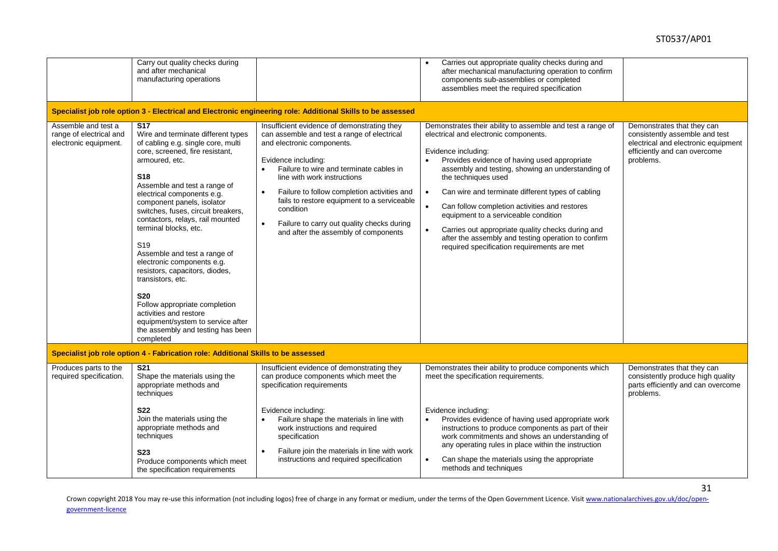|                                                                         | Carry out quality checks during<br>and after mechanical<br>manufacturing operations                                                                                                                                                                                                                                                                                                                                                                                                                                                                                                                                                                                           | Specialist job role option 3 - Electrical and Electronic engineering role: Additional Skills to be assessed                                                                                                                                                                                                                                                                                                                                          | Carries out appropriate quality checks during and<br>$\bullet$<br>after mechanical manufacturing operation to confirm<br>components sub-assemblies or completed<br>assemblies meet the required specification                                                                                                                                                                                                                                                                                                                                                                                          |                                                                                                                                                  |
|-------------------------------------------------------------------------|-------------------------------------------------------------------------------------------------------------------------------------------------------------------------------------------------------------------------------------------------------------------------------------------------------------------------------------------------------------------------------------------------------------------------------------------------------------------------------------------------------------------------------------------------------------------------------------------------------------------------------------------------------------------------------|------------------------------------------------------------------------------------------------------------------------------------------------------------------------------------------------------------------------------------------------------------------------------------------------------------------------------------------------------------------------------------------------------------------------------------------------------|--------------------------------------------------------------------------------------------------------------------------------------------------------------------------------------------------------------------------------------------------------------------------------------------------------------------------------------------------------------------------------------------------------------------------------------------------------------------------------------------------------------------------------------------------------------------------------------------------------|--------------------------------------------------------------------------------------------------------------------------------------------------|
| Assemble and test a<br>range of electrical and<br>electronic equipment. | $\overline{\text{S}17}$<br>Wire and terminate different types<br>of cabling e.g. single core, multi<br>core, screened, fire resistant,<br>armoured, etc.<br><b>S18</b><br>Assemble and test a range of<br>electrical components e.g.<br>component panels, isolator<br>switches, fuses, circuit breakers,<br>contactors, relays, rail mounted<br>terminal blocks, etc.<br>S <sub>19</sub><br>Assemble and test a range of<br>electronic components e.g.<br>resistors, capacitors, diodes,<br>transistors, etc.<br><b>S20</b><br>Follow appropriate completion<br>activities and restore<br>equipment/system to service after<br>the assembly and testing has been<br>completed | Insufficient evidence of demonstrating they<br>can assemble and test a range of electrical<br>and electronic components.<br>Evidence including:<br>Failure to wire and terminate cables in<br>line with work instructions<br>Failure to follow completion activities and<br>$\bullet$<br>fails to restore equipment to a serviceable<br>condition<br>$\bullet$<br>Failure to carry out quality checks during<br>and after the assembly of components | Demonstrates their ability to assemble and test a range of<br>electrical and electronic components.<br>Evidence including:<br>Provides evidence of having used appropriate<br>assembly and testing, showing an understanding of<br>the techniques used<br>Can wire and terminate different types of cabling<br>$\bullet$<br>Can follow completion activities and restores<br>$\bullet$<br>equipment to a serviceable condition<br>Carries out appropriate quality checks during and<br>$\bullet$<br>after the assembly and testing operation to confirm<br>required specification requirements are met | Demonstrates that they can<br>consistently assemble and test<br>electrical and electronic equipment<br>efficiently and can overcome<br>problems. |
|                                                                         | Specialist job role option 4 - Fabrication role: Additional Skills to be assessed                                                                                                                                                                                                                                                                                                                                                                                                                                                                                                                                                                                             |                                                                                                                                                                                                                                                                                                                                                                                                                                                      |                                                                                                                                                                                                                                                                                                                                                                                                                                                                                                                                                                                                        |                                                                                                                                                  |
| Produces parts to the<br>required specification.                        | <b>S21</b><br>Shape the materials using the<br>appropriate methods and<br>techniques                                                                                                                                                                                                                                                                                                                                                                                                                                                                                                                                                                                          | Insufficient evidence of demonstrating they<br>can produce components which meet the<br>specification requirements                                                                                                                                                                                                                                                                                                                                   | Demonstrates their ability to produce components which<br>meet the specification requirements.                                                                                                                                                                                                                                                                                                                                                                                                                                                                                                         | Demonstrates that they can<br>consistently produce high quality<br>parts efficiently and can overcome<br>problems.                               |
|                                                                         | <b>S22</b><br>Join the materials using the<br>appropriate methods and<br>techniques<br><b>S23</b><br>Produce components which meet<br>the specification requirements                                                                                                                                                                                                                                                                                                                                                                                                                                                                                                          | Evidence including:<br>Failure shape the materials in line with<br>$\bullet$<br>work instructions and required<br>specification<br>Failure join the materials in line with work<br>$\bullet$<br>instructions and required specification                                                                                                                                                                                                              | Evidence including:<br>Provides evidence of having used appropriate work<br>$\bullet$<br>instructions to produce components as part of their<br>work commitments and shows an understanding of<br>any operating rules in place within the instruction<br>Can shape the materials using the appropriate<br>$\bullet$<br>methods and techniques                                                                                                                                                                                                                                                          |                                                                                                                                                  |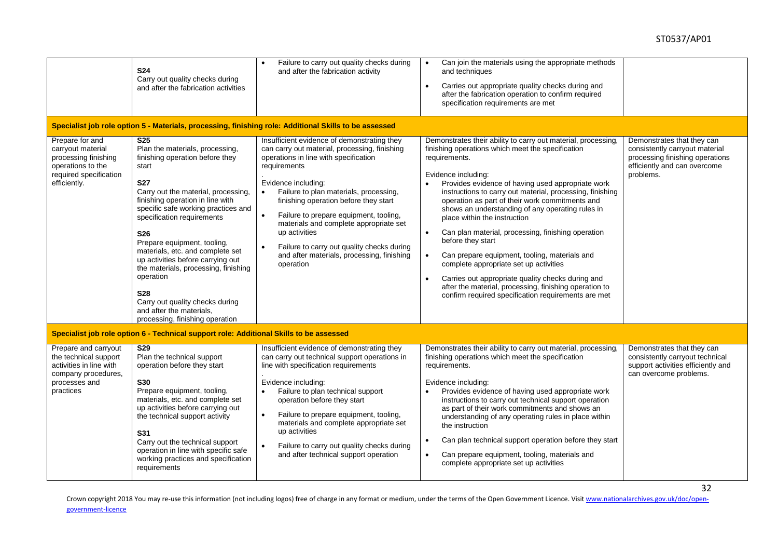|                                                                                                                               | <b>S24</b><br>Carry out quality checks during<br>and after the fabrication activities                                                                                                                                                                                                                                                                                                                                                                                                                                                                           | Failure to carry out quality checks during<br>and after the fabrication activity                                                                                                                                                                                                                                                                                                                                                                                                           | Can join the materials using the appropriate methods<br>$\bullet$<br>and techniques<br>Carries out appropriate quality checks during and<br>$\bullet$<br>after the fabrication operation to confirm required<br>specification requirements are met                                                                                                                                                                                                                                                                                                                                                                                                                                                                                                                                                     |                                                                                                                                              |
|-------------------------------------------------------------------------------------------------------------------------------|-----------------------------------------------------------------------------------------------------------------------------------------------------------------------------------------------------------------------------------------------------------------------------------------------------------------------------------------------------------------------------------------------------------------------------------------------------------------------------------------------------------------------------------------------------------------|--------------------------------------------------------------------------------------------------------------------------------------------------------------------------------------------------------------------------------------------------------------------------------------------------------------------------------------------------------------------------------------------------------------------------------------------------------------------------------------------|--------------------------------------------------------------------------------------------------------------------------------------------------------------------------------------------------------------------------------------------------------------------------------------------------------------------------------------------------------------------------------------------------------------------------------------------------------------------------------------------------------------------------------------------------------------------------------------------------------------------------------------------------------------------------------------------------------------------------------------------------------------------------------------------------------|----------------------------------------------------------------------------------------------------------------------------------------------|
|                                                                                                                               |                                                                                                                                                                                                                                                                                                                                                                                                                                                                                                                                                                 | Specialist job role option 5 - Materials, processing, finishing role: Additional Skills to be assessed                                                                                                                                                                                                                                                                                                                                                                                     |                                                                                                                                                                                                                                                                                                                                                                                                                                                                                                                                                                                                                                                                                                                                                                                                        |                                                                                                                                              |
| Prepare for and<br>carryout material<br>processing finishing<br>operations to the<br>required specification<br>efficiently.   | $\overline{\text{S25}}$<br>Plan the materials, processing,<br>finishing operation before they<br>start<br><b>S27</b><br>Carry out the material, processing,<br>finishing operation in line with<br>specific safe working practices and<br>specification requirements<br><b>S26</b><br>Prepare equipment, tooling,<br>materials, etc. and complete set<br>up activities before carrying out<br>the materials, processing, finishing<br>operation<br><b>S28</b><br>Carry out quality checks during<br>and after the materials.<br>processing, finishing operation | Insufficient evidence of demonstrating they<br>can carry out material, processing, finishing<br>operations in line with specification<br>requirements<br>Evidence including:<br>Failure to plan materials, processing,<br>finishing operation before they start<br>Failure to prepare equipment, tooling,<br>materials and complete appropriate set<br>up activities<br>Failure to carry out quality checks during<br>$\bullet$<br>and after materials, processing, finishing<br>operation | Demonstrates their ability to carry out material, processing,<br>finishing operations which meet the specification<br>requirements.<br>Evidence including:<br>Provides evidence of having used appropriate work<br>instructions to carry out material, processing, finishing<br>operation as part of their work commitments and<br>shows an understanding of any operating rules in<br>place within the instruction<br>Can plan material, processing, finishing operation<br>$\bullet$<br>before they start<br>Can prepare equipment, tooling, materials and<br>$\bullet$<br>complete appropriate set up activities<br>Carries out appropriate quality checks during and<br>$\bullet$<br>after the material, processing, finishing operation to<br>confirm required specification requirements are met | Demonstrates that they can<br>consistently carryout material<br>processing finishing operations<br>efficiently and can overcome<br>problems. |
|                                                                                                                               | Specialist job role option 6 - Technical support role: Additional Skills to be assessed                                                                                                                                                                                                                                                                                                                                                                                                                                                                         |                                                                                                                                                                                                                                                                                                                                                                                                                                                                                            |                                                                                                                                                                                                                                                                                                                                                                                                                                                                                                                                                                                                                                                                                                                                                                                                        |                                                                                                                                              |
| Prepare and carryout<br>the technical support<br>activities in line with<br>company procedures,<br>processes and<br>practices | S <sub>29</sub><br>Plan the technical support<br>operation before they start<br><b>S30</b><br>Prepare equipment, tooling,<br>materials, etc. and complete set<br>up activities before carrying out<br>the technical support activity<br><b>S31</b><br>Carry out the technical support<br>operation in line with specific safe<br>working practices and specification<br>requirements                                                                                                                                                                            | Insufficient evidence of demonstrating they<br>can carry out technical support operations in<br>line with specification requirements<br>Evidence including:<br>Failure to plan technical support<br>$\bullet$<br>operation before they start<br>Failure to prepare equipment, tooling,<br>$\bullet$<br>materials and complete appropriate set<br>up activities<br>Failure to carry out quality checks during<br>and after technical support operation                                      | Demonstrates their ability to carry out material, processing,<br>finishing operations which meet the specification<br>requirements.<br>Evidence including:<br>Provides evidence of having used appropriate work<br>instructions to carry out technical support operation<br>as part of their work commitments and shows an<br>understanding of any operating rules in place within<br>the instruction<br>Can plan technical support operation before they start<br>$\bullet$<br>Can prepare equipment, tooling, materials and<br>$\bullet$<br>complete appropriate set up activities                                                                                                                                                                                                                   | Demonstrates that they can<br>consistently carryout technical<br>support activities efficiently and<br>can overcome problems.                |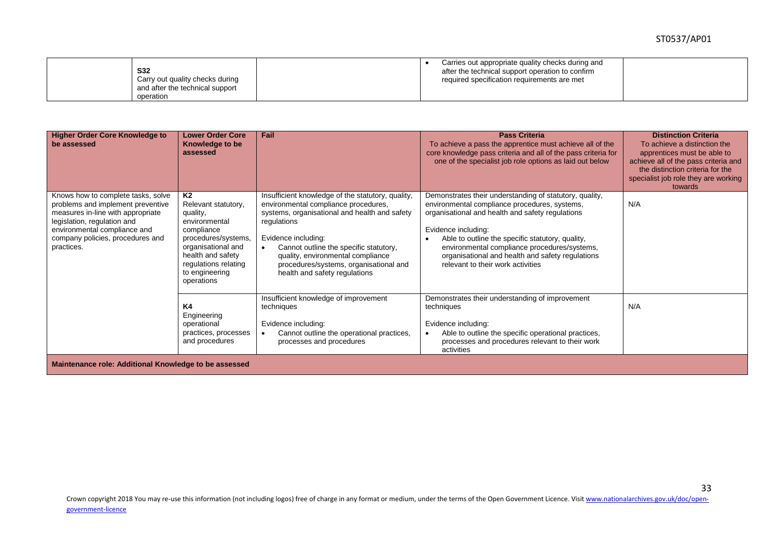| <b>S32</b><br>Carry out quality checks during<br>and after the technical support<br>operation | Carries out appropriate quality checks during and<br>after the technical support operation to confirm<br>required specification requirements are met |  |
|-----------------------------------------------------------------------------------------------|------------------------------------------------------------------------------------------------------------------------------------------------------|--|
|-----------------------------------------------------------------------------------------------|------------------------------------------------------------------------------------------------------------------------------------------------------|--|

| <b>Higher Order Core Knowledge to</b><br>be assessed                                                                                                                                                                          | <b>Lower Order Core</b><br>Knowledge to be<br>assessed                                                                                                                                         | Fail                                                                                                                                                                                                                                                                                                                                       | <b>Pass Criteria</b><br>To achieve a pass the apprentice must achieve all of the<br>core knowledge pass criteria and all of the pass criteria for<br>one of the specialist job role options as laid out below                                                                                                                                                                    | <b>Distinction Criteria</b><br>To achieve a distinction the<br>apprentices must be able to<br>achieve all of the pass criteria and<br>the distinction criteria for the<br>specialist job role they are working<br>towards |  |
|-------------------------------------------------------------------------------------------------------------------------------------------------------------------------------------------------------------------------------|------------------------------------------------------------------------------------------------------------------------------------------------------------------------------------------------|--------------------------------------------------------------------------------------------------------------------------------------------------------------------------------------------------------------------------------------------------------------------------------------------------------------------------------------------|----------------------------------------------------------------------------------------------------------------------------------------------------------------------------------------------------------------------------------------------------------------------------------------------------------------------------------------------------------------------------------|---------------------------------------------------------------------------------------------------------------------------------------------------------------------------------------------------------------------------|--|
| Knows how to complete tasks, solve<br>problems and implement preventive<br>measures in-line with appropriate<br>legislation, regulation and<br>environmental compliance and<br>company policies, procedures and<br>practices. | K2<br>Relevant statutory,<br>quality,<br>environmental<br>compliance<br>procedures/systems,<br>organisational and<br>health and safety<br>regulations relating<br>to engineering<br>operations | Insufficient knowledge of the statutory, quality,<br>environmental compliance procedures,<br>systems, organisational and health and safety<br>regulations<br>Evidence including:<br>Cannot outline the specific statutory,<br>quality, environmental compliance<br>procedures/systems, organisational and<br>health and safety regulations | Demonstrates their understanding of statutory, quality,<br>environmental compliance procedures, systems,<br>organisational and health and safety regulations<br>Evidence including:<br>Able to outline the specific statutory, quality,<br>environmental compliance procedures/systems,<br>organisational and health and safety regulations<br>relevant to their work activities | N/A                                                                                                                                                                                                                       |  |
|                                                                                                                                                                                                                               | <b>K4</b><br>Engineering<br>operational<br>practices, processes<br>and procedures                                                                                                              | Insufficient knowledge of improvement<br>techniques<br>Evidence including:<br>Cannot outline the operational practices,<br>processes and procedures                                                                                                                                                                                        | Demonstrates their understanding of improvement<br>techniques<br>Evidence including:<br>Able to outline the specific operational practices,<br>processes and procedures relevant to their work<br>activities                                                                                                                                                                     | N/A                                                                                                                                                                                                                       |  |
| Maintenance role: Additional Knowledge to be assessed                                                                                                                                                                         |                                                                                                                                                                                                |                                                                                                                                                                                                                                                                                                                                            |                                                                                                                                                                                                                                                                                                                                                                                  |                                                                                                                                                                                                                           |  |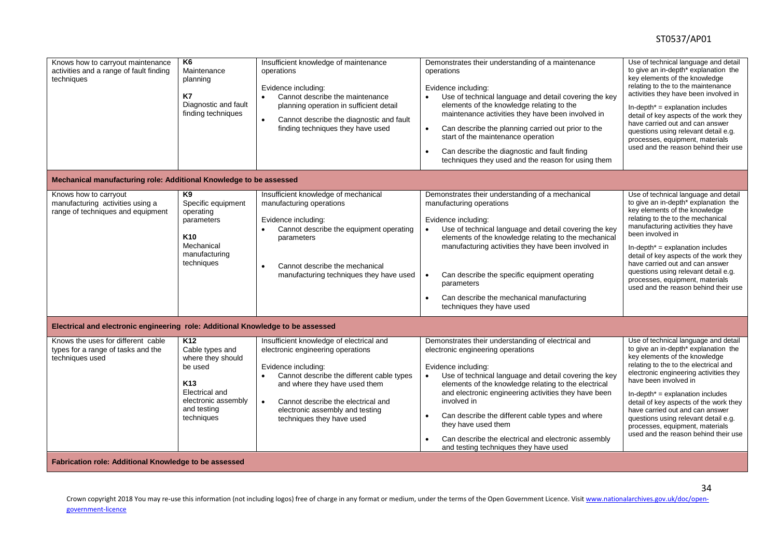#### ST0537/AP01

| Knows how to carryout maintenance<br>activities and a range of fault finding<br>techniques<br>Mechanical manufacturing role: Additional Knowledge to be assessed | K6<br>Maintenance<br>planning<br>K7<br>Diagnostic and fault<br>finding techniques                                                                           | Insufficient knowledge of maintenance<br>operations<br>Evidence including:<br>Cannot describe the maintenance<br>$\bullet$<br>planning operation in sufficient detail<br>Cannot describe the diagnostic and fault<br>$\bullet$<br>finding techniques they have used                                                | Demonstrates their understanding of a maintenance<br>operations<br>Evidence including:<br>Use of technical language and detail covering the key<br>$\bullet$<br>elements of the knowledge relating to the<br>maintenance activities they have been involved in<br>Can describe the planning carried out prior to the<br>$\bullet$<br>start of the maintenance operation<br>Can describe the diagnostic and fault finding<br>$\bullet$<br>techniques they used and the reason for using them    | Use of technical language and detail<br>to give an in-depth <sup>*</sup> explanation the<br>key elements of the knowledge<br>relating to the to the maintenance<br>activities they have been involved in<br>$In-depth* = explanation includes$<br>detail of key aspects of the work they<br>have carried out and can answer<br>questions using relevant detail e.g.<br>processes, equipment, materials<br>used and the reason behind their use                              |
|------------------------------------------------------------------------------------------------------------------------------------------------------------------|-------------------------------------------------------------------------------------------------------------------------------------------------------------|--------------------------------------------------------------------------------------------------------------------------------------------------------------------------------------------------------------------------------------------------------------------------------------------------------------------|------------------------------------------------------------------------------------------------------------------------------------------------------------------------------------------------------------------------------------------------------------------------------------------------------------------------------------------------------------------------------------------------------------------------------------------------------------------------------------------------|-----------------------------------------------------------------------------------------------------------------------------------------------------------------------------------------------------------------------------------------------------------------------------------------------------------------------------------------------------------------------------------------------------------------------------------------------------------------------------|
|                                                                                                                                                                  |                                                                                                                                                             |                                                                                                                                                                                                                                                                                                                    |                                                                                                                                                                                                                                                                                                                                                                                                                                                                                                |                                                                                                                                                                                                                                                                                                                                                                                                                                                                             |
| Knows how to carryout<br>manufacturing activities using a<br>range of techniques and equipment                                                                   | K9<br>Specific equipment<br>operating<br>parameters<br>K <sub>10</sub><br>Mechanical<br>manufacturing<br>techniques                                         | Insufficient knowledge of mechanical<br>manufacturing operations<br>Evidence including:<br>Cannot describe the equipment operating<br>$\bullet$<br>parameters<br>Cannot describe the mechanical<br>$\bullet$<br>manufacturing techniques they have used                                                            | Demonstrates their understanding of a mechanical<br>manufacturing operations<br>Evidence including:<br>Use of technical language and detail covering the key<br>$\bullet$<br>elements of the knowledge relating to the mechanical<br>manufacturing activities they have been involved in<br>Can describe the specific equipment operating<br>$\bullet$<br>parameters<br>Can describe the mechanical manufacturing<br>$\bullet$<br>techniques they have used                                    | Use of technical language and detail<br>to give an in-depth <sup>*</sup> explanation the<br>key elements of the knowledge<br>relating to the to the mechanical<br>manufacturing activities they have<br>been involved in<br>$In-depth* = explanation$ includes<br>detail of key aspects of the work they<br>have carried out and can answer<br>questions using relevant detail e.g.<br>processes, equipment, materials<br>used and the reason behind their use              |
| Electrical and electronic engineering role: Additional Knowledge to be assessed                                                                                  |                                                                                                                                                             |                                                                                                                                                                                                                                                                                                                    |                                                                                                                                                                                                                                                                                                                                                                                                                                                                                                |                                                                                                                                                                                                                                                                                                                                                                                                                                                                             |
| Knows the uses for different cable<br>types for a range of tasks and the<br>techniques used                                                                      | K <sub>12</sub><br>Cable types and<br>where they should<br>be used<br>K <sub>13</sub><br>Electrical and<br>electronic assembly<br>and testing<br>techniques | Insufficient knowledge of electrical and<br>electronic engineering operations<br>Evidence including:<br>Cannot describe the different cable types<br>$\bullet$<br>and where they have used them<br>Cannot describe the electrical and<br>$\bullet$<br>electronic assembly and testing<br>techniques they have used | Demonstrates their understanding of electrical and<br>electronic engineering operations<br>Evidence including:<br>Use of technical language and detail covering the key<br>elements of the knowledge relating to the electrical<br>and electronic engineering activities they have been<br>involved in<br>Can describe the different cable types and where<br>$\bullet$<br>they have used them<br>Can describe the electrical and electronic assembly<br>and testing techniques they have used | Use of technical language and detail<br>to give an in-depth <sup>*</sup> explanation the<br>key elements of the knowledge<br>relating to the to the electrical and<br>electronic engineering activities they<br>have been involved in<br>$In-depth* = explanation includes$<br>detail of key aspects of the work they<br>have carried out and can answer<br>questions using relevant detail e.g.<br>processes, equipment, materials<br>used and the reason behind their use |
| Fabrication role: Additional Knowledge to be assessed                                                                                                            |                                                                                                                                                             |                                                                                                                                                                                                                                                                                                                    |                                                                                                                                                                                                                                                                                                                                                                                                                                                                                                |                                                                                                                                                                                                                                                                                                                                                                                                                                                                             |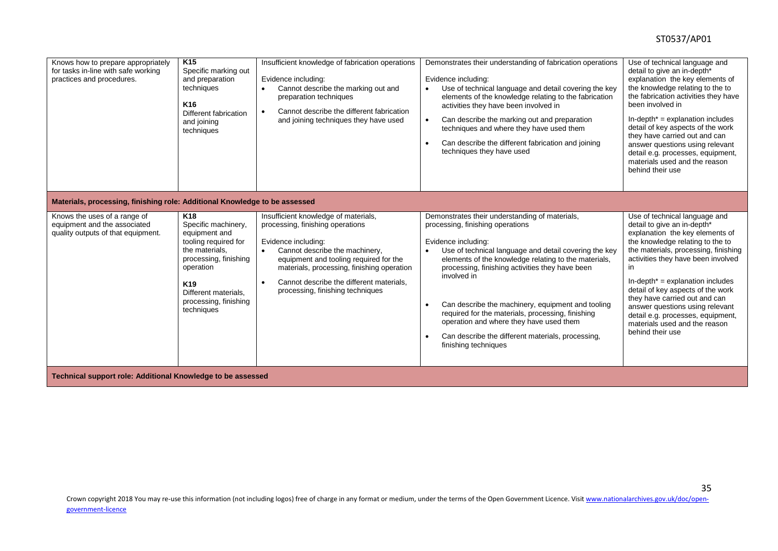| Knows how to prepare appropriately<br>for tasks in-line with safe working<br>practices and procedures. | K <sub>15</sub><br>Specific marking out<br>and preparation<br>techniques<br>K <sub>16</sub><br>Different fabrication<br>and joining<br>techniques                                                                         | Insufficient knowledge of fabrication operations<br>Evidence including:<br>Cannot describe the marking out and<br>$\bullet$<br>preparation techniques<br>Cannot describe the different fabrication<br>$\bullet$<br>and joining techniques they have used                                                               | Demonstrates their understanding of fabrication operations<br>Evidence including:<br>Use of technical language and detail covering the key<br>$\bullet$<br>elements of the knowledge relating to the fabrication<br>activities they have been involved in<br>Can describe the marking out and preparation<br>$\bullet$<br>techniques and where they have used them<br>Can describe the different fabrication and joining<br>techniques they have used                                                                          | Use of technical language and<br>detail to give an in-depth*<br>explanation the key elements of<br>the knowledge relating to the to<br>the fabrication activities they have<br>been involved in<br>$In-depth* = explanation includes$<br>detail of key aspects of the work<br>they have carried out and can<br>answer questions using relevant<br>detail e.g. processes, equipment,<br>materials used and the reason<br>behind their use                          |
|--------------------------------------------------------------------------------------------------------|---------------------------------------------------------------------------------------------------------------------------------------------------------------------------------------------------------------------------|------------------------------------------------------------------------------------------------------------------------------------------------------------------------------------------------------------------------------------------------------------------------------------------------------------------------|--------------------------------------------------------------------------------------------------------------------------------------------------------------------------------------------------------------------------------------------------------------------------------------------------------------------------------------------------------------------------------------------------------------------------------------------------------------------------------------------------------------------------------|-------------------------------------------------------------------------------------------------------------------------------------------------------------------------------------------------------------------------------------------------------------------------------------------------------------------------------------------------------------------------------------------------------------------------------------------------------------------|
| Materials, processing, finishing role: Additional Knowledge to be assessed                             |                                                                                                                                                                                                                           |                                                                                                                                                                                                                                                                                                                        |                                                                                                                                                                                                                                                                                                                                                                                                                                                                                                                                |                                                                                                                                                                                                                                                                                                                                                                                                                                                                   |
| Knows the uses of a range of<br>equipment and the associated<br>quality outputs of that equipment.     | K <sub>18</sub><br>Specific machinery,<br>equipment and<br>tooling required for<br>the materials.<br>processing, finishing<br>operation<br>K <sub>19</sub><br>Different materials.<br>processing, finishing<br>techniques | Insufficient knowledge of materials,<br>processing, finishing operations<br>Evidence including:<br>Cannot describe the machinery,<br>$\bullet$<br>equipment and tooling required for the<br>materials, processing, finishing operation<br>Cannot describe the different materials,<br>processing, finishing techniques | Demonstrates their understanding of materials,<br>processing, finishing operations<br>Evidence including:<br>Use of technical language and detail covering the key<br>elements of the knowledge relating to the materials,<br>processing, finishing activities they have been<br>involved in<br>Can describe the machinery, equipment and tooling<br>required for the materials, processing, finishing<br>operation and where they have used them<br>Can describe the different materials, processing,<br>finishing techniques | Use of technical language and<br>detail to give an in-depth*<br>explanation the key elements of<br>the knowledge relating to the to<br>the materials, processing, finishing<br>activities they have been involved<br>in.<br>$In-depth* = explanation includes$<br>detail of key aspects of the work<br>they have carried out and can<br>answer questions using relevant<br>detail e.g. processes, equipment,<br>materials used and the reason<br>behind their use |
| Technical support role: Additional Knowledge to be assessed                                            |                                                                                                                                                                                                                           |                                                                                                                                                                                                                                                                                                                        |                                                                                                                                                                                                                                                                                                                                                                                                                                                                                                                                |                                                                                                                                                                                                                                                                                                                                                                                                                                                                   |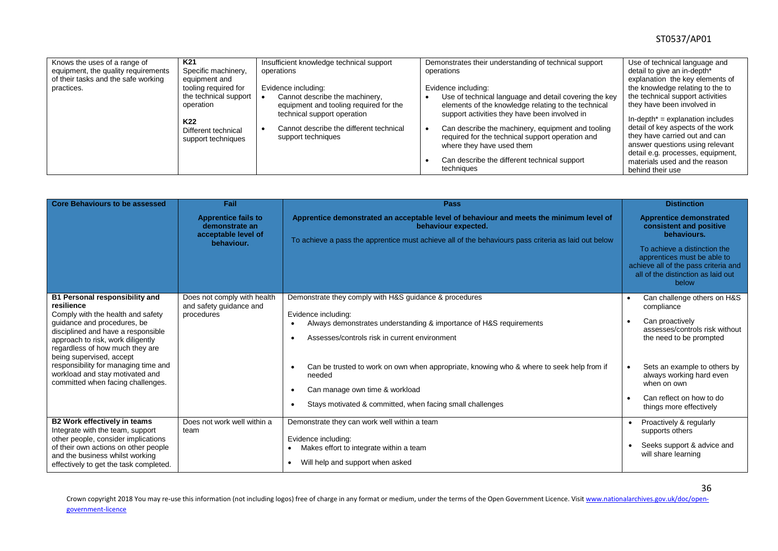| Knows the uses of a range of<br>equipment, the quality requirements<br>of their tasks and the safe working<br>practices. | K <sub>21</sub><br>Specific machinery,<br>equipment and<br>tooling required for<br>the technical support<br>operation<br>K <sub>22</sub><br>Different technical<br>support techniques | Insufficient knowledge technical support<br>operations<br>Evidence including:<br>Cannot describe the machinery,<br>equipment and tooling required for the<br>technical support operation<br>Cannot describe the different technical<br>support techniques | Demonstrates their understanding of technical support<br>operations<br>Evidence including:<br>Use of technical language and detail covering the key<br>elements of the knowledge relating to the technical<br>support activities they have been involved in<br>Can describe the machinery, equipment and tooling<br>required for the technical support operation and | Use of technical language and<br>detail to give an in-depth*<br>explanation the key elements of<br>the knowledge relating to the to<br>the technical support activities<br>they have been involved in<br>$In-depth* = explanation includes$<br>detail of key aspects of the work<br>they have carried out and can |
|--------------------------------------------------------------------------------------------------------------------------|---------------------------------------------------------------------------------------------------------------------------------------------------------------------------------------|-----------------------------------------------------------------------------------------------------------------------------------------------------------------------------------------------------------------------------------------------------------|----------------------------------------------------------------------------------------------------------------------------------------------------------------------------------------------------------------------------------------------------------------------------------------------------------------------------------------------------------------------|-------------------------------------------------------------------------------------------------------------------------------------------------------------------------------------------------------------------------------------------------------------------------------------------------------------------|
|                                                                                                                          |                                                                                                                                                                                       |                                                                                                                                                                                                                                                           | where they have used them                                                                                                                                                                                                                                                                                                                                            | answer questions using relevant<br>detail e.g. processes, equipment,                                                                                                                                                                                                                                              |
|                                                                                                                          |                                                                                                                                                                                       |                                                                                                                                                                                                                                                           | Can describe the different technical support<br>techniques                                                                                                                                                                                                                                                                                                           | materials used and the reason<br>behind their use                                                                                                                                                                                                                                                                 |

| <b>Core Behaviours to be assessed</b>                                                                                                                                                                                                                                                                                                                                             | Fail                                                                              | Pass                                                                                                                                                                                                                                                                                                                                                                                                      | <b>Distinction</b>                                                                                                                                                                                                                                          |  |
|-----------------------------------------------------------------------------------------------------------------------------------------------------------------------------------------------------------------------------------------------------------------------------------------------------------------------------------------------------------------------------------|-----------------------------------------------------------------------------------|-----------------------------------------------------------------------------------------------------------------------------------------------------------------------------------------------------------------------------------------------------------------------------------------------------------------------------------------------------------------------------------------------------------|-------------------------------------------------------------------------------------------------------------------------------------------------------------------------------------------------------------------------------------------------------------|--|
|                                                                                                                                                                                                                                                                                                                                                                                   | <b>Apprentice fails to</b><br>demonstrate an<br>acceptable level of<br>behaviour. | Apprentice demonstrated an acceptable level of behaviour and meets the minimum level of<br>behaviour expected.<br>To achieve a pass the apprentice must achieve all of the behaviours pass criteria as laid out below                                                                                                                                                                                     | <b>Apprentice demonstrated</b><br>consistent and positive<br>behaviours.<br>To achieve a distinction the<br>apprentices must be able to<br>achieve all of the pass criteria and<br>all of the distinction as laid out<br>below                              |  |
| <b>B1 Personal responsibility and</b><br>resilience<br>Comply with the health and safety<br>quidance and procedures, be<br>disciplined and have a responsible<br>approach to risk, work diligently<br>regardless of how much they are<br>being supervised, accept<br>responsibility for managing time and<br>workload and stay motivated and<br>committed when facing challenges. | Does not comply with health<br>and safety guidance and<br>procedures              | Demonstrate they comply with H&S guidance & procedures<br>Evidence including:<br>Always demonstrates understanding & importance of H&S requirements<br>Assesses/controls risk in current environment<br>Can be trusted to work on own when appropriate, knowing who & where to seek help from if<br>needed<br>Can manage own time & workload<br>Stays motivated & committed, when facing small challenges | Can challenge others on H&S<br>compliance<br>Can proactively<br>assesses/controls risk without<br>the need to be prompted<br>Sets an example to others by<br>always working hard even<br>when on own<br>Can reflect on how to do<br>things more effectively |  |
| B2 Work effectively in teams<br>Integrate with the team, support<br>other people, consider implications<br>of their own actions on other people<br>and the business whilst working<br>effectively to get the task completed.                                                                                                                                                      | Does not work well within a<br>team                                               | Demonstrate they can work well within a team<br>Evidence including:<br>Makes effort to integrate within a team<br>$\bullet$<br>Will help and support when asked<br>$\bullet$                                                                                                                                                                                                                              | Proactively & regularly<br>supports others<br>Seeks support & advice and<br>will share learning                                                                                                                                                             |  |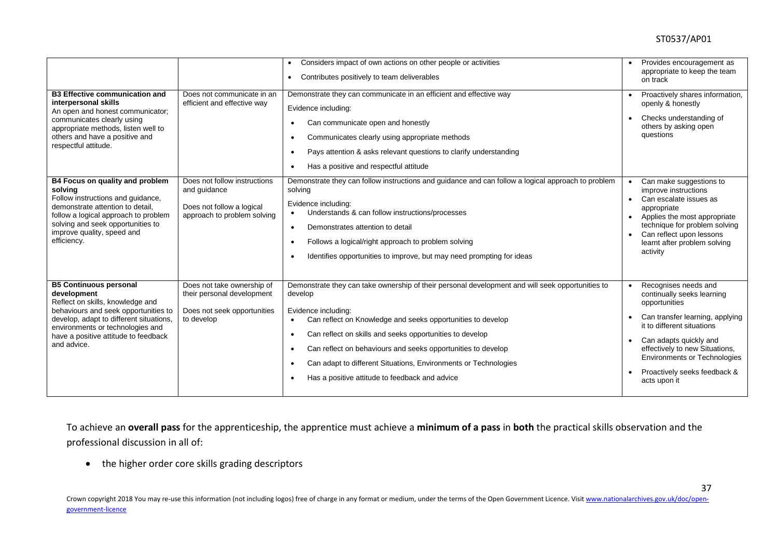|                                                                                                                                                                                                                                                                                                                                                         |                                                                                                                                        | Considers impact of own actions on other people or activities<br>$\bullet$<br>Contributes positively to team deliverables<br>$\bullet$                                                                                                                                                                                                                                                                                                                                            |                                                                                                                                                    | Provides encouragement as<br>appropriate to keep the team<br>on track                                                                                                                                                                                                                   |
|---------------------------------------------------------------------------------------------------------------------------------------------------------------------------------------------------------------------------------------------------------------------------------------------------------------------------------------------------------|----------------------------------------------------------------------------------------------------------------------------------------|-----------------------------------------------------------------------------------------------------------------------------------------------------------------------------------------------------------------------------------------------------------------------------------------------------------------------------------------------------------------------------------------------------------------------------------------------------------------------------------|----------------------------------------------------------------------------------------------------------------------------------------------------|-----------------------------------------------------------------------------------------------------------------------------------------------------------------------------------------------------------------------------------------------------------------------------------------|
| <b>B3 Effective communication and</b><br>interpersonal skills<br>An open and honest communicator;<br>communicates clearly using<br>appropriate methods, listen well to<br>others and have a positive and<br>respectful attitude.<br>B4 Focus on quality and problem<br>solving<br>Follow instructions and guidance,<br>demonstrate attention to detail. | Does not communicate in an<br>efficient and effective way<br>Does not follow instructions<br>and guidance<br>Does not follow a logical | Demonstrate they can communicate in an efficient and effective way<br>Evidence including:<br>Can communicate open and honestly<br>$\bullet$<br>Communicates clearly using appropriate methods<br>Pays attention & asks relevant questions to clarify understanding<br>$\bullet$<br>Has a positive and respectful attitude<br>$\bullet$<br>Demonstrate they can follow instructions and guidance and can follow a logical approach to problem<br>solving<br>Evidence including:    | $\bullet$<br>$\bullet$                                                                                                                             | Proactively shares information,<br>openly & honestly<br>Checks understanding of<br>others by asking open<br>questions<br>Can make suggestions to<br>improve instructions<br>Can escalate issues as<br>appropriate                                                                       |
| follow a logical approach to problem<br>solving and seek opportunities to<br>improve quality, speed and<br>efficiency.                                                                                                                                                                                                                                  | approach to problem solving                                                                                                            | Understands & can follow instructions/processes<br>$\bullet$<br>Demonstrates attention to detail<br>$\bullet$<br>Follows a logical/right approach to problem solving<br>$\bullet$<br>Identifies opportunities to improve, but may need prompting for ideas                                                                                                                                                                                                                        | Applies the most appropriate<br>$\bullet$<br>technique for problem solving<br>Can reflect upon lessons<br>learnt after problem solving<br>activity |                                                                                                                                                                                                                                                                                         |
| <b>B5 Continuous personal</b><br>development<br>Reflect on skills, knowledge and<br>behaviours and seek opportunities to<br>develop, adapt to different situations,<br>environments or technologies and<br>have a positive attitude to feedback<br>and advice.                                                                                          | Does not take ownership of<br>their personal development<br>Does not seek opportunities<br>to develop                                  | Demonstrate they can take ownership of their personal development and will seek opportunities to<br>develop<br>Evidence including:<br>Can reflect on Knowledge and seeks opportunities to develop<br>$\bullet$<br>Can reflect on skills and seeks opportunities to develop<br>$\bullet$<br>Can reflect on behaviours and seeks opportunities to develop<br>٠<br>Can adapt to different Situations, Environments or Technologies<br>Has a positive attitude to feedback and advice | $\bullet$<br>$\bullet$                                                                                                                             | Recognises needs and<br>continually seeks learning<br>opportunities<br>Can transfer learning, applying<br>it to different situations<br>Can adapts quickly and<br>effectively to new Situations,<br><b>Environments or Technologies</b><br>Proactively seeks feedback &<br>acts upon it |
|                                                                                                                                                                                                                                                                                                                                                         |                                                                                                                                        |                                                                                                                                                                                                                                                                                                                                                                                                                                                                                   |                                                                                                                                                    |                                                                                                                                                                                                                                                                                         |

To achieve an **overall pass** for the apprenticeship, the apprentice must achieve a **minimum of a pass** in **both** the practical skills observation and the professional discussion in all of:

the higher order core skills grading descriptors